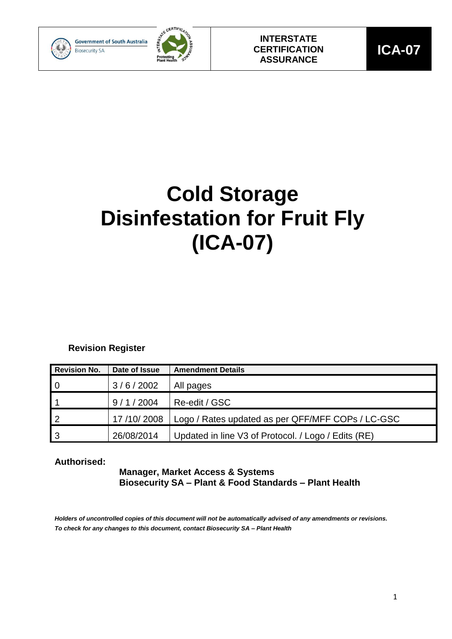



# **Cold Storage Disinfestation for Fruit Fly (ICA-07)**

### **Revision Register**

| <b>Revision No.</b> | Date of Issue | <b>Amendment Details</b>                            |
|---------------------|---------------|-----------------------------------------------------|
| $\overline{0}$      | 3/6/2002      | All pages                                           |
|                     | 9/1/2004      | Re-edit / GSC                                       |
| -2                  | 17/10/2008    | Logo / Rates updated as per QFF/MFF COPs / LC-GSC   |
| -3                  | 26/08/2014    | Updated in line V3 of Protocol. / Logo / Edits (RE) |

### **Authorised:**

### **Manager, Market Access & Systems Biosecurity SA – Plant & Food Standards – Plant Health**

*Holders of uncontrolled copies of this document will not be automatically advised of any amendments or revisions. To check for any changes to this document, contact Biosecurity SA – Plant Health*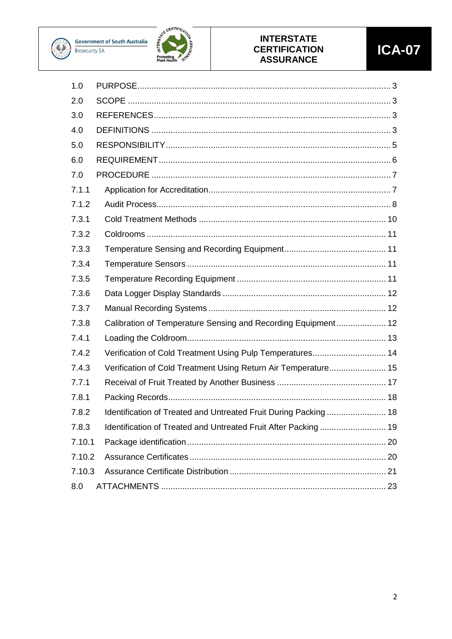



### **INTERSTATE CERTIFICATION ASSURANCE**

| 1.0    |                                                                  |
|--------|------------------------------------------------------------------|
| 2.0    |                                                                  |
| 3.0    |                                                                  |
| 4.0    |                                                                  |
| 5.0    |                                                                  |
| 6.0    |                                                                  |
| 7.0    |                                                                  |
| 7.1.1  |                                                                  |
| 7.1.2  |                                                                  |
| 7.3.1  |                                                                  |
| 7.3.2  |                                                                  |
| 7.3.3  |                                                                  |
| 7.3.4  |                                                                  |
| 7.3.5  |                                                                  |
| 7.3.6  |                                                                  |
| 7.3.7  |                                                                  |
| 7.3.8  | Calibration of Temperature Sensing and Recording Equipment 12    |
| 7.4.1  |                                                                  |
| 7.4.2  | Verification of Cold Treatment Using Pulp Temperatures 14        |
| 7.4.3  | Verification of Cold Treatment Using Return Air Temperature 15   |
| 7.7.1  |                                                                  |
| 7.8.1  |                                                                  |
| 7.8.2  | Identification of Treated and Untreated Fruit During Packing  18 |
| 7.8.3  |                                                                  |
| 7.10.1 |                                                                  |
| 7.10.2 |                                                                  |
| 7.10.3 |                                                                  |
| 8.0    |                                                                  |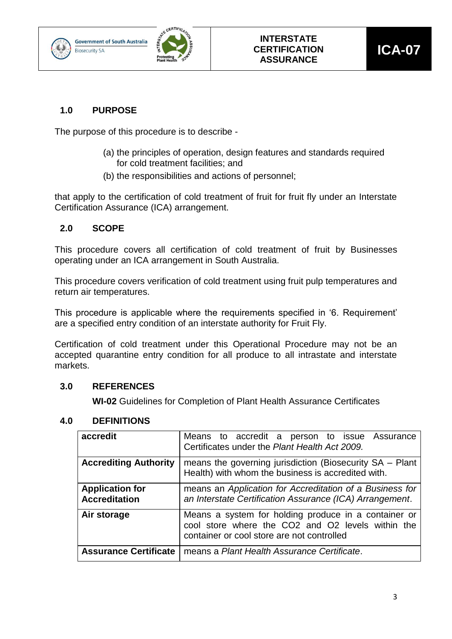



### <span id="page-2-0"></span>**1.0 PURPOSE**

The purpose of this procedure is to describe -

- (a) the principles of operation, design features and standards required for cold treatment facilities; and
- (b) the responsibilities and actions of personnel;

that apply to the certification of cold treatment of fruit for fruit fly under an Interstate Certification Assurance (ICA) arrangement.

### <span id="page-2-1"></span>**2.0 SCOPE**

This procedure covers all certification of cold treatment of fruit by Businesses operating under an ICA arrangement in South Australia.

This procedure covers verification of cold treatment using fruit pulp temperatures and return air temperatures.

This procedure is applicable where the requirements specified in '6. Requirement' are a specified entry condition of an interstate authority for Fruit Fly.

Certification of cold treatment under this Operational Procedure may not be an accepted quarantine entry condition for all produce to all intrastate and interstate markets.

### <span id="page-2-2"></span>**3.0 REFERENCES**

**WI-02** Guidelines for Completion of Plant Health Assurance Certificates

### <span id="page-2-3"></span>**4.0 DEFINITIONS**

| accredit                                       | Means to accredit a person to issue Assurance<br>Certificates under the Plant Health Act 2009.                                                          |  |  |
|------------------------------------------------|---------------------------------------------------------------------------------------------------------------------------------------------------------|--|--|
| <b>Accrediting Authority</b>                   | means the governing jurisdiction (Biosecurity SA - Plant<br>Health) with whom the business is accredited with.                                          |  |  |
| <b>Application for</b><br><b>Accreditation</b> | means an Application for Accreditation of a Business for<br>an Interstate Certification Assurance (ICA) Arrangement.                                    |  |  |
| Air storage                                    | Means a system for holding produce in a container or<br>cool store where the CO2 and O2 levels within the<br>container or cool store are not controlled |  |  |
| <b>Assurance Certificate</b>                   | means a Plant Health Assurance Certificate.                                                                                                             |  |  |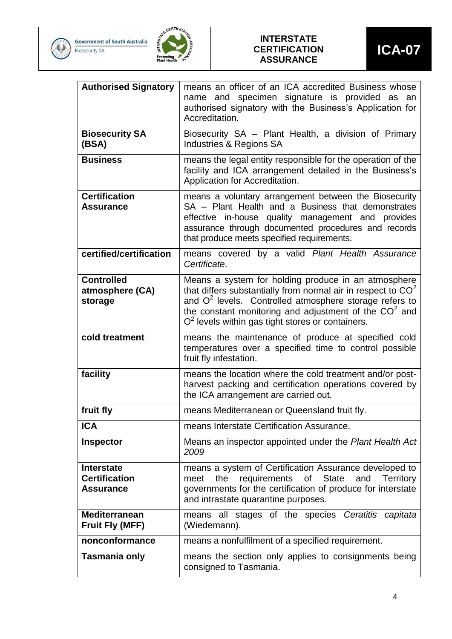





#### **INTERSTATE CERTIFICATION ASSURANCE**

| <b>Authorised Signatory</b>                                   | means an officer of an ICA accredited Business whose<br>name and specimen signature is provided as an<br>authorised signatory with the Business's Application for<br>Accreditation.                                                                                                                |  |  |
|---------------------------------------------------------------|----------------------------------------------------------------------------------------------------------------------------------------------------------------------------------------------------------------------------------------------------------------------------------------------------|--|--|
| <b>Biosecurity SA</b><br>(BSA)                                | Biosecurity SA - Plant Health, a division of Primary<br>Industries & Regions SA                                                                                                                                                                                                                    |  |  |
| <b>Business</b>                                               | means the legal entity responsible for the operation of the<br>facility and ICA arrangement detailed in the Business's<br>Application for Accreditation.                                                                                                                                           |  |  |
| <b>Certification</b><br><b>Assurance</b>                      | means a voluntary arrangement between the Biosecurity<br>SA - Plant Health and a Business that demonstrates<br>effective in-house quality management and provides<br>assurance through documented procedures and records<br>that produce meets specified requirements.                             |  |  |
| certified/certification                                       | means covered by a valid Plant Health Assurance<br>Certificate.                                                                                                                                                                                                                                    |  |  |
| <b>Controlled</b><br>atmosphere (CA)<br>storage               | Means a system for holding produce in an atmosphere<br>that differs substantially from normal air in respect to $CO2$<br>and $O2$ levels. Controlled atmosphere storage refers to<br>the constant monitoring and adjustment of the $CO2$ and<br>$O2$ levels within gas tight stores or containers. |  |  |
| cold treatment                                                | means the maintenance of produce at specified cold<br>temperatures over a specified time to control possible<br>fruit fly infestation.                                                                                                                                                             |  |  |
| facility                                                      | means the location where the cold treatment and/or post-<br>harvest packing and certification operations covered by<br>the ICA arrangement are carried out.                                                                                                                                        |  |  |
| fruit fly                                                     | means Mediterranean or Queensland fruit fly.                                                                                                                                                                                                                                                       |  |  |
| <b>ICA</b>                                                    | means Interstate Certification Assurance.                                                                                                                                                                                                                                                          |  |  |
| <b>Inspector</b>                                              | Means an inspector appointed under the Plant Health Act<br>2009                                                                                                                                                                                                                                    |  |  |
| <b>Interstate</b><br><b>Certification</b><br><b>Assurance</b> | means a system of Certification Assurance developed to<br><b>State</b><br>the<br>requirements of<br>and<br><b>Territory</b><br>meet<br>governments for the certification of produce for interstate<br>and intrastate quarantine purposes.                                                          |  |  |
| <b>Mediterranean</b><br><b>Fruit Fly (MFF)</b>                | means all stages of the species Ceratitis capitata<br>(Wiedemann).                                                                                                                                                                                                                                 |  |  |
| nonconformance                                                | means a nonfulfilment of a specified requirement.                                                                                                                                                                                                                                                  |  |  |
| Tasmania only                                                 | means the section only applies to consignments being<br>consigned to Tasmania.                                                                                                                                                                                                                     |  |  |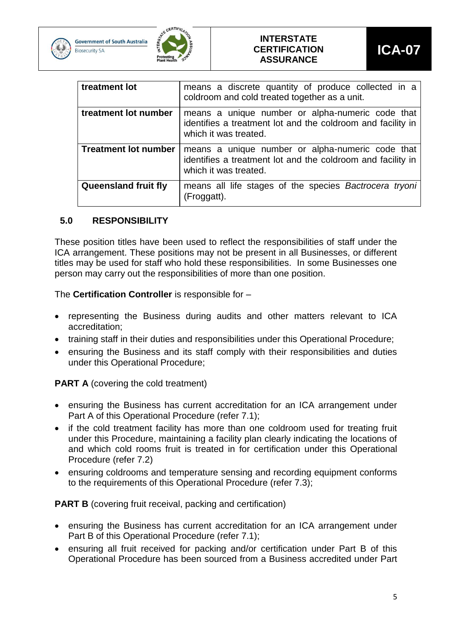





| treatment lot               | means a discrete quantity of produce collected in a<br>coldroom and cold treated together as a unit.                                     |
|-----------------------------|------------------------------------------------------------------------------------------------------------------------------------------|
| treatment lot number        | means a unique number or alpha-numeric code that<br>identifies a treatment lot and the coldroom and facility in<br>which it was treated. |
| <b>Treatment lot number</b> | means a unique number or alpha-numeric code that<br>identifies a treatment lot and the coldroom and facility in<br>which it was treated. |
| <b>Queensland fruit fly</b> | means all life stages of the species Bactrocera tryoni<br>(Froggatt).                                                                    |

### <span id="page-4-0"></span>**5.0 RESPONSIBILITY**

These position titles have been used to reflect the responsibilities of staff under the ICA arrangement. These positions may not be present in all Businesses, or different titles may be used for staff who hold these responsibilities. In some Businesses one person may carry out the responsibilities of more than one position.

The **Certification Controller** is responsible for –

- representing the Business during audits and other matters relevant to ICA accreditation;
- training staff in their duties and responsibilities under this Operational Procedure;
- ensuring the Business and its staff comply with their responsibilities and duties under this Operational Procedure;

**PART A** (covering the cold treatment)

- ensuring the Business has current accreditation for an ICA arrangement under Part A of this Operational Procedure (refer 7.1);
- if the cold treatment facility has more than one coldroom used for treating fruit under this Procedure, maintaining a facility plan clearly indicating the locations of and which cold rooms fruit is treated in for certification under this Operational Procedure (refer 7.2)
- ensuring coldrooms and temperature sensing and recording equipment conforms to the requirements of this Operational Procedure (refer 7.3);

**PART B** (covering fruit receival, packing and certification)

- ensuring the Business has current accreditation for an ICA arrangement under Part B of this Operational Procedure (refer 7.1);
- ensuring all fruit received for packing and/or certification under Part B of this Operational Procedure has been sourced from a Business accredited under Part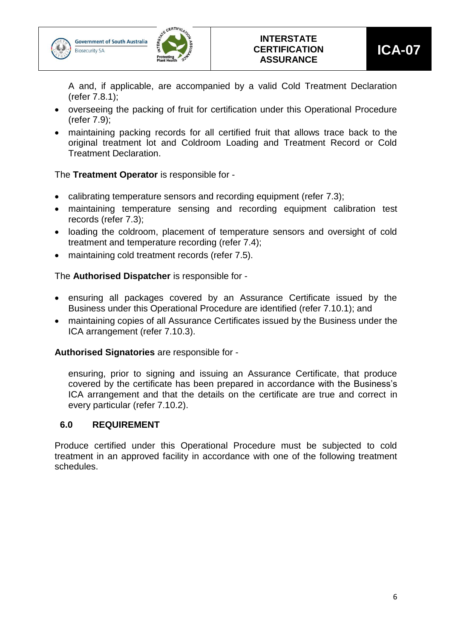





A and, if applicable, are accompanied by a valid Cold Treatment Declaration (refer 7.8.1);

- overseeing the packing of fruit for certification under this Operational Procedure (refer 7.9);
- maintaining packing records for all certified fruit that allows trace back to the original treatment lot and Coldroom Loading and Treatment Record or Cold Treatment Declaration.

The **Treatment Operator** is responsible for -

- calibrating temperature sensors and recording equipment (refer 7.3);
- maintaining temperature sensing and recording equipment calibration test records (refer 7.3);
- loading the coldroom, placement of temperature sensors and oversight of cold treatment and temperature recording (refer 7.4);
- maintaining cold treatment records (refer 7.5).

The **Authorised Dispatcher** is responsible for -

- ensuring all packages covered by an Assurance Certificate issued by the Business under this Operational Procedure are identified (refer 7.10.1); and
- maintaining copies of all Assurance Certificates issued by the Business under the ICA arrangement (refer 7.10.3).

**Authorised Signatories** are responsible for -

ensuring, prior to signing and issuing an Assurance Certificate, that produce covered by the certificate has been prepared in accordance with the Business's ICA arrangement and that the details on the certificate are true and correct in every particular (refer 7.10.2).

### <span id="page-5-0"></span>**6.0 REQUIREMENT**

Produce certified under this Operational Procedure must be subjected to cold treatment in an approved facility in accordance with one of the following treatment schedules.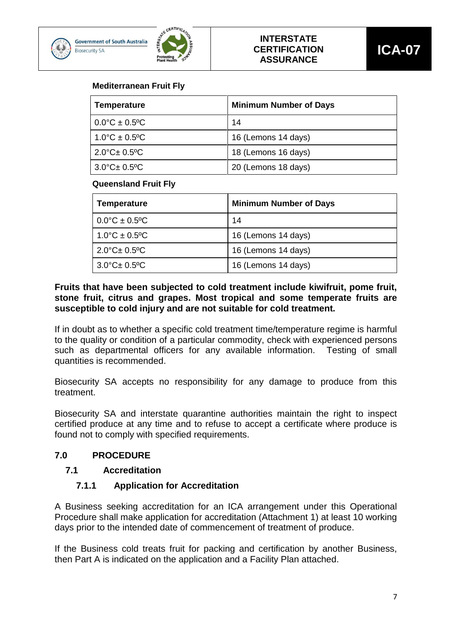



#### **Mediterranean Fruit Fly**

| <b>Temperature</b>          | <b>Minimum Number of Days</b> |  |
|-----------------------------|-------------------------------|--|
| $0.0^{\circ}$ C ± 0.5°C     | 14                            |  |
| $1.0^{\circ}$ C ± 0.5°C     | 16 (Lemons 14 days)           |  |
| $2.0^{\circ}$ C $\pm$ 0.5°C | 18 (Lemons 16 days)           |  |
| $3.0^{\circ}$ C $\pm$ 0.5°C | 20 (Lemons 18 days)           |  |

#### **Queensland Fruit Fly**

| <b>Temperature</b>          | <b>Minimum Number of Days</b> |
|-----------------------------|-------------------------------|
| $0.0^{\circ}$ C ± 0.5°C     | 14                            |
| $1.0^{\circ}$ C ± 0.5°C     | 16 (Lemons 14 days)           |
| $2.0^{\circ}$ C $\pm$ 0.5°C | 16 (Lemons 14 days)           |
| $3.0^{\circ}$ C $\pm$ 0.5°C | 16 (Lemons 14 days)           |

#### **Fruits that have been subjected to cold treatment include kiwifruit, pome fruit, stone fruit, citrus and grapes. Most tropical and some temperate fruits are susceptible to cold injury and are not suitable for cold treatment.**

If in doubt as to whether a specific cold treatment time/temperature regime is harmful to the quality or condition of a particular commodity, check with experienced persons such as departmental officers for any available information. Testing of small quantities is recommended.

Biosecurity SA accepts no responsibility for any damage to produce from this treatment.

Biosecurity SA and interstate quarantine authorities maintain the right to inspect certified produce at any time and to refuse to accept a certificate where produce is found not to comply with specified requirements.

#### <span id="page-6-0"></span>**7.0 PROCEDURE**

#### <span id="page-6-1"></span>**7.1 Accreditation**

#### **7.1.1 Application for Accreditation**

A Business seeking accreditation for an ICA arrangement under this Operational Procedure shall make application for accreditation (Attachment 1) at least 10 working days prior to the intended date of commencement of treatment of produce.

If the Business cold treats fruit for packing and certification by another Business, then Part A is indicated on the application and a Facility Plan attached.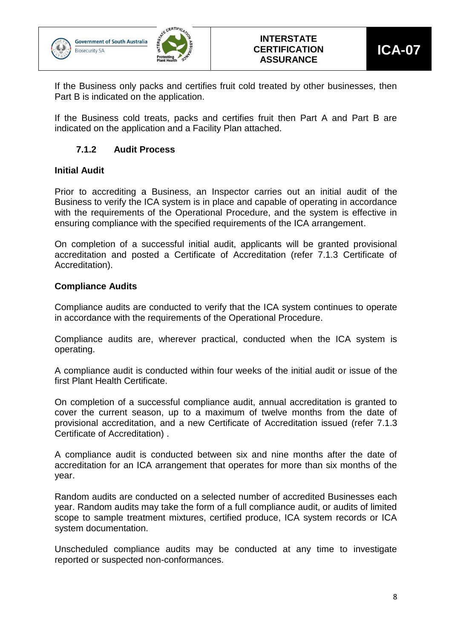





If the Business only packs and certifies fruit cold treated by other businesses, then Part B is indicated on the application.

If the Business cold treats, packs and certifies fruit then Part A and Part B are indicated on the application and a Facility Plan attached.

### **7.1.2 Audit Process**

#### <span id="page-7-0"></span>**Initial Audit**

Prior to accrediting a Business, an Inspector carries out an initial audit of the Business to verify the ICA system is in place and capable of operating in accordance with the requirements of the Operational Procedure, and the system is effective in ensuring compliance with the specified requirements of the ICA arrangement.

On completion of a successful initial audit, applicants will be granted provisional accreditation and posted a Certificate of Accreditation (refer 7.1.3 Certificate of Accreditation).

#### **Compliance Audits**

Compliance audits are conducted to verify that the ICA system continues to operate in accordance with the requirements of the Operational Procedure.

Compliance audits are, wherever practical, conducted when the ICA system is operating.

A compliance audit is conducted within four weeks of the initial audit or issue of the first Plant Health Certificate.

On completion of a successful compliance audit, annual accreditation is granted to cover the current season, up to a maximum of twelve months from the date of provisional accreditation, and a new Certificate of Accreditation issued (refer 7.1.3 Certificate of Accreditation) .

A compliance audit is conducted between six and nine months after the date of accreditation for an ICA arrangement that operates for more than six months of the year.

Random audits are conducted on a selected number of accredited Businesses each year. Random audits may take the form of a full compliance audit, or audits of limited scope to sample treatment mixtures, certified produce, ICA system records or ICA system documentation.

Unscheduled compliance audits may be conducted at any time to investigate reported or suspected non-conformances.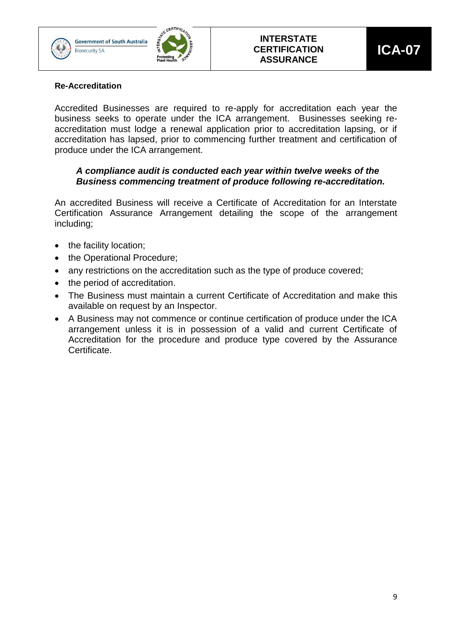





#### **Re-Accreditation**

Accredited Businesses are required to re-apply for accreditation each year the business seeks to operate under the ICA arrangement. Businesses seeking reaccreditation must lodge a renewal application prior to accreditation lapsing, or if accreditation has lapsed, prior to commencing further treatment and certification of produce under the ICA arrangement.

#### *A compliance audit is conducted each year within twelve weeks of the Business commencing treatment of produce following re-accreditation.*

An accredited Business will receive a Certificate of Accreditation for an Interstate Certification Assurance Arrangement detailing the scope of the arrangement including;

- the facility location;
- the Operational Procedure;
- any restrictions on the accreditation such as the type of produce covered;
- the period of accreditation.
- The Business must maintain a current Certificate of Accreditation and make this available on request by an Inspector.
- A Business may not commence or continue certification of produce under the ICA arrangement unless it is in possession of a valid and current Certificate of Accreditation for the procedure and produce type covered by the Assurance Certificate.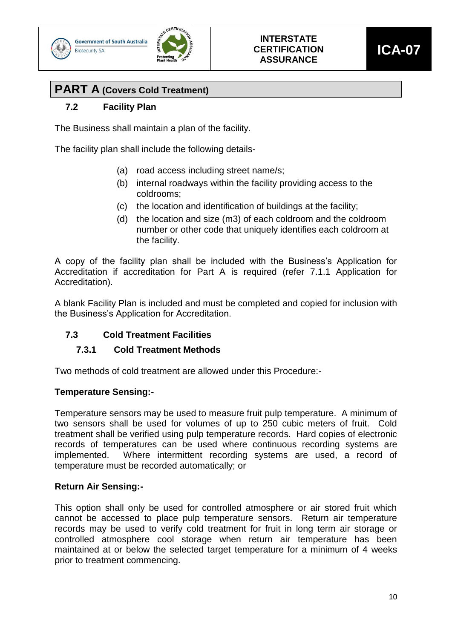





# **PART A (Covers Cold Treatment)**

### **7.2 Facility Plan**

The Business shall maintain a plan of the facility.

The facility plan shall include the following details-

- (a) road access including street name/s;
- (b) internal roadways within the facility providing access to the coldrooms;
- (c) the location and identification of buildings at the facility;
- (d) the location and size (m3) of each coldroom and the coldroom number or other code that uniquely identifies each coldroom at the facility.

A copy of the facility plan shall be included with the Business's Application for Accreditation if accreditation for Part A is required (refer 7.1.1 Application for Accreditation).

A blank Facility Plan is included and must be completed and copied for inclusion with the Business's Application for Accreditation.

### <span id="page-9-0"></span>**7.3 Cold Treatment Facilities**

### **7.3.1 Cold Treatment Methods**

Two methods of cold treatment are allowed under this Procedure:-

#### **Temperature Sensing:-**

Temperature sensors may be used to measure fruit pulp temperature. A minimum of two sensors shall be used for volumes of up to 250 cubic meters of fruit. Cold treatment shall be verified using pulp temperature records. Hard copies of electronic records of temperatures can be used where continuous recording systems are implemented. Where intermittent recording systems are used, a record of temperature must be recorded automatically; or

#### **Return Air Sensing:-**

This option shall only be used for controlled atmosphere or air stored fruit which cannot be accessed to place pulp temperature sensors. Return air temperature records may be used to verify cold treatment for fruit in long term air storage or controlled atmosphere cool storage when return air temperature has been maintained at or below the selected target temperature for a minimum of 4 weeks prior to treatment commencing.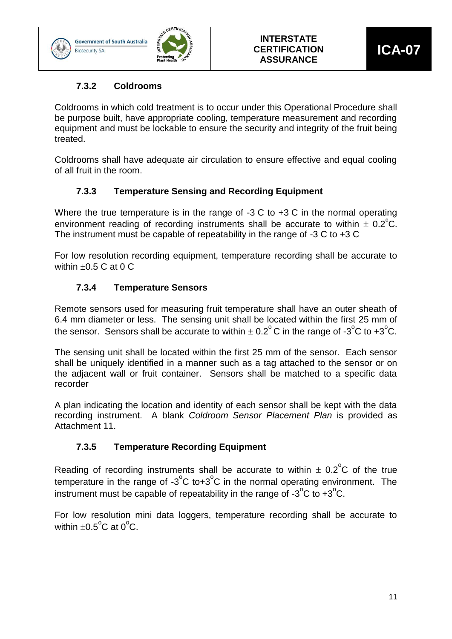



### **7.3.2 Coldrooms**

<span id="page-10-0"></span>Coldrooms in which cold treatment is to occur under this Operational Procedure shall be purpose built, have appropriate cooling, temperature measurement and recording equipment and must be lockable to ensure the security and integrity of the fruit being treated.

Coldrooms shall have adequate air circulation to ensure effective and equal cooling of all fruit in the room.

### **7.3.3 Temperature Sensing and Recording Equipment**

<span id="page-10-1"></span>Where the true temperature is in the range of -3 C to +3 C in the normal operating environment reading of recording instruments shall be accurate to within  $\pm$  0.2°C. The instrument must be capable of repeatability in the range of -3 C to +3 C

For low resolution recording equipment, temperature recording shall be accurate to within  $+0.5$  C at 0 C.

### **7.3.4 Temperature Sensors**

<span id="page-10-2"></span>Remote sensors used for measuring fruit temperature shall have an outer sheath of 6.4 mm diameter or less. The sensing unit shall be located within the first 25 mm of the sensor. Sensors shall be accurate to within  $\pm$  0.2°C in the range of -3°C to +3°C.

The sensing unit shall be located within the first 25 mm of the sensor. Each sensor shall be uniquely identified in a manner such as a tag attached to the sensor or on the adjacent wall or fruit container. Sensors shall be matched to a specific data recorder

A plan indicating the location and identity of each sensor shall be kept with the data recording instrument. A blank *Coldroom Sensor Placement Plan* is provided as Attachment 11.

### **7.3.5 Temperature Recording Equipment**

<span id="page-10-3"></span>Reading of recording instruments shall be accurate to within  $\pm$  0.2°C of the true temperature in the range of  $-3^{\circ}$ C to $+3^{\circ}$ C in the normal operating environment. The instrument must be capable of repeatability in the range of  $-3^{\circ}$ C to  $+3^{\circ}$ C.

For low resolution mini data loggers, temperature recording shall be accurate to within  $\pm 0.5^{\circ}$ C at 0 $^{\circ}$ C.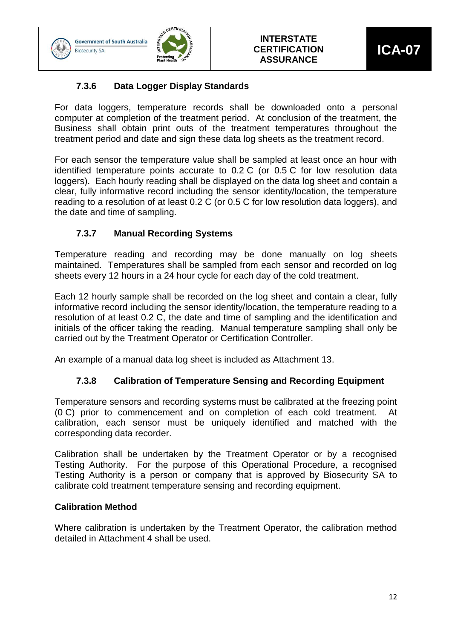

**Biosecurity SA** 



### **7.3.6 Data Logger Display Standards**

<span id="page-11-0"></span>For data loggers, temperature records shall be downloaded onto a personal computer at completion of the treatment period. At conclusion of the treatment, the Business shall obtain print outs of the treatment temperatures throughout the treatment period and date and sign these data log sheets as the treatment record.

For each sensor the temperature value shall be sampled at least once an hour with identified temperature points accurate to 0.2 C (or 0.5 C for low resolution data loggers). Each hourly reading shall be displayed on the data log sheet and contain a clear, fully informative record including the sensor identity/location, the temperature reading to a resolution of at least 0.2 C (or 0.5 C for low resolution data loggers), and the date and time of sampling.

### **7.3.7 Manual Recording Systems**

<span id="page-11-1"></span>Temperature reading and recording may be done manually on log sheets maintained. Temperatures shall be sampled from each sensor and recorded on log sheets every 12 hours in a 24 hour cycle for each day of the cold treatment.

Each 12 hourly sample shall be recorded on the log sheet and contain a clear, fully informative record including the sensor identity/location, the temperature reading to a resolution of at least 0.2 C, the date and time of sampling and the identification and initials of the officer taking the reading. Manual temperature sampling shall only be carried out by the Treatment Operator or Certification Controller.

<span id="page-11-2"></span>An example of a manual data log sheet is included as Attachment 13.

### **7.3.8 Calibration of Temperature Sensing and Recording Equipment**

Temperature sensors and recording systems must be calibrated at the freezing point (0 C) prior to commencement and on completion of each cold treatment. At calibration, each sensor must be uniquely identified and matched with the corresponding data recorder.

Calibration shall be undertaken by the Treatment Operator or by a recognised Testing Authority. For the purpose of this Operational Procedure, a recognised Testing Authority is a person or company that is approved by Biosecurity SA to calibrate cold treatment temperature sensing and recording equipment.

#### **Calibration Method**

Where calibration is undertaken by the Treatment Operator, the calibration method detailed in Attachment 4 shall be used.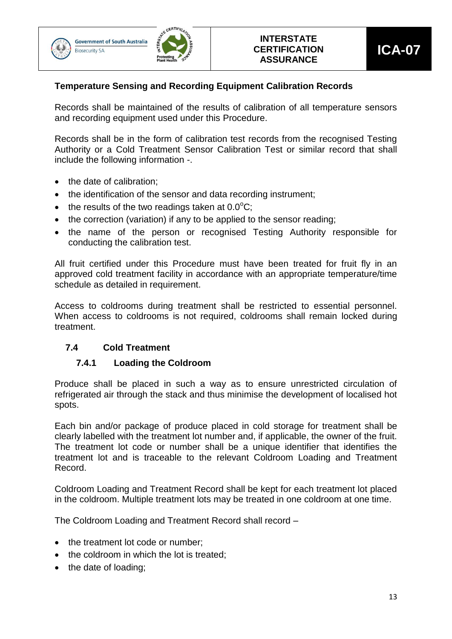



### **Temperature Sensing and Recording Equipment Calibration Records**

Records shall be maintained of the results of calibration of all temperature sensors and recording equipment used under this Procedure.

Records shall be in the form of calibration test records from the recognised Testing Authority or a Cold Treatment Sensor Calibration Test or similar record that shall include the following information -.

- the date of calibration;
- the identification of the sensor and data recording instrument;
- $\bullet$  the results of the two readings taken at 0.0 $^{\circ}$ C;
- the correction (variation) if any to be applied to the sensor reading;
- the name of the person or recognised Testing Authority responsible for conducting the calibration test.

All fruit certified under this Procedure must have been treated for fruit fly in an approved cold treatment facility in accordance with an appropriate temperature/time schedule as detailed in requirement.

Access to coldrooms during treatment shall be restricted to essential personnel. When access to coldrooms is not required, coldrooms shall remain locked during treatment.

### <span id="page-12-0"></span>**7.4 Cold Treatment**

#### **7.4.1 Loading the Coldroom**

Produce shall be placed in such a way as to ensure unrestricted circulation of refrigerated air through the stack and thus minimise the development of localised hot spots.

Each bin and/or package of produce placed in cold storage for treatment shall be clearly labelled with the treatment lot number and, if applicable, the owner of the fruit. The treatment lot code or number shall be a unique identifier that identifies the treatment lot and is traceable to the relevant Coldroom Loading and Treatment Record.

Coldroom Loading and Treatment Record shall be kept for each treatment lot placed in the coldroom. Multiple treatment lots may be treated in one coldroom at one time.

The Coldroom Loading and Treatment Record shall record –

- the treatment lot code or number;
- the coldroom in which the lot is treated;
- the date of loading;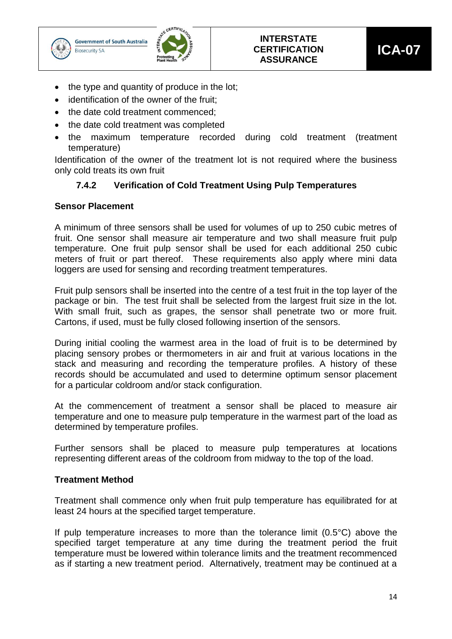



- the type and quantity of produce in the lot;
- identification of the owner of the fruit;
- the date cold treatment commenced;
- the date cold treatment was completed
- the maximum temperature recorded during cold treatment (treatment temperature)

<span id="page-13-0"></span>Identification of the owner of the treatment lot is not required where the business only cold treats its own fruit

### **7.4.2 Verification of Cold Treatment Using Pulp Temperatures**

#### **Sensor Placement**

A minimum of three sensors shall be used for volumes of up to 250 cubic metres of fruit. One sensor shall measure air temperature and two shall measure fruit pulp temperature. One fruit pulp sensor shall be used for each additional 250 cubic meters of fruit or part thereof. These requirements also apply where mini data loggers are used for sensing and recording treatment temperatures.

Fruit pulp sensors shall be inserted into the centre of a test fruit in the top layer of the package or bin. The test fruit shall be selected from the largest fruit size in the lot. With small fruit, such as grapes, the sensor shall penetrate two or more fruit. Cartons, if used, must be fully closed following insertion of the sensors.

During initial cooling the warmest area in the load of fruit is to be determined by placing sensory probes or thermometers in air and fruit at various locations in the stack and measuring and recording the temperature profiles. A history of these records should be accumulated and used to determine optimum sensor placement for a particular coldroom and/or stack configuration.

At the commencement of treatment a sensor shall be placed to measure air temperature and one to measure pulp temperature in the warmest part of the load as determined by temperature profiles.

Further sensors shall be placed to measure pulp temperatures at locations representing different areas of the coldroom from midway to the top of the load.

#### **Treatment Method**

Treatment shall commence only when fruit pulp temperature has equilibrated for at least 24 hours at the specified target temperature.

If pulp temperature increases to more than the tolerance limit (0.5°C) above the specified target temperature at any time during the treatment period the fruit temperature must be lowered within tolerance limits and the treatment recommenced as if starting a new treatment period. Alternatively, treatment may be continued at a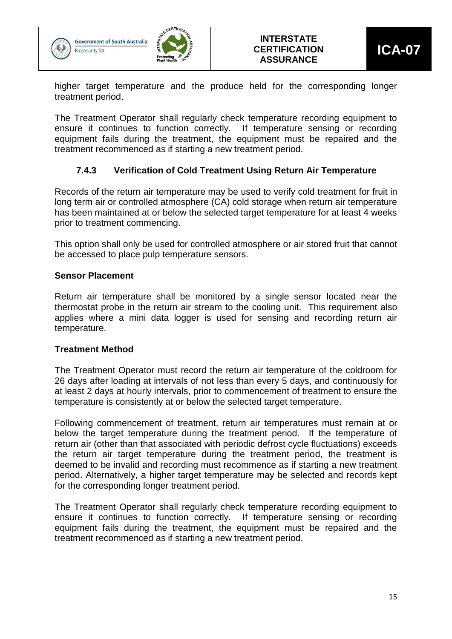



higher target temperature and the produce held for the corresponding longer treatment period.

The Treatment Operator shall regularly check temperature recording equipment to ensure it continues to function correctly. If temperature sensing or recording equipment fails during the treatment, the equipment must be repaired and the treatment recommenced as if starting a new treatment period.

### **7.4.3 Verification of Cold Treatment Using Return Air Temperature**

<span id="page-14-0"></span>Records of the return air temperature may be used to verify cold treatment for fruit in long term air or controlled atmosphere (CA) cold storage when return air temperature has been maintained at or below the selected target temperature for at least 4 weeks prior to treatment commencing.

This option shall only be used for controlled atmosphere or air stored fruit that cannot be accessed to place pulp temperature sensors.

#### **Sensor Placement**

Return air temperature shall be monitored by a single sensor located near the thermostat probe in the return air stream to the cooling unit. This requirement also applies where a mini data logger is used for sensing and recording return air temperature.

#### **Treatment Method**

The Treatment Operator must record the return air temperature of the coldroom for 26 days after loading at intervals of not less than every 5 days, and continuously for at least 2 days at hourly intervals, prior to commencement of treatment to ensure the temperature is consistently at or below the selected target temperature.

Following commencement of treatment, return air temperatures must remain at or below the target temperature during the treatment period. If the temperature of return air (other than that associated with periodic defrost cycle fluctuations) exceeds the return air target temperature during the treatment period, the treatment is deemed to be invalid and recording must recommence as if starting a new treatment period. Alternatively, a higher target temperature may be selected and records kept for the corresponding longer treatment period.

The Treatment Operator shall regularly check temperature recording equipment to ensure it continues to function correctly. If temperature sensing or recording equipment fails during the treatment, the equipment must be repaired and the treatment recommenced as if starting a new treatment period.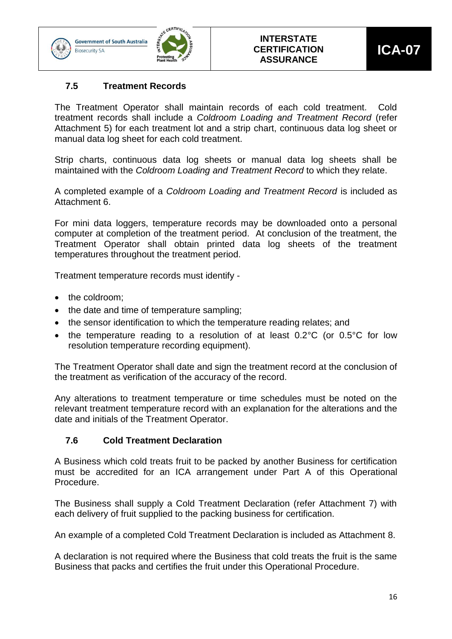

**Biosecurity SA** 



#### **7.5 Treatment Records**

The Treatment Operator shall maintain records of each cold treatment. Cold treatment records shall include a *Coldroom Loading and Treatment Record* (refer Attachment 5) for each treatment lot and a strip chart, continuous data log sheet or manual data log sheet for each cold treatment.

Strip charts, continuous data log sheets or manual data log sheets shall be maintained with the *Coldroom Loading and Treatment Record* to which they relate.

A completed example of a *Coldroom Loading and Treatment Record* is included as Attachment 6.

For mini data loggers, temperature records may be downloaded onto a personal computer at completion of the treatment period. At conclusion of the treatment, the Treatment Operator shall obtain printed data log sheets of the treatment temperatures throughout the treatment period.

Treatment temperature records must identify -

- the coldroom;
- the date and time of temperature sampling;
- the sensor identification to which the temperature reading relates: and
- the temperature reading to a resolution of at least 0.2°C (or 0.5°C for low resolution temperature recording equipment).

The Treatment Operator shall date and sign the treatment record at the conclusion of the treatment as verification of the accuracy of the record.

Any alterations to treatment temperature or time schedules must be noted on the relevant treatment temperature record with an explanation for the alterations and the date and initials of the Treatment Operator.

#### **7.6 Cold Treatment Declaration**

A Business which cold treats fruit to be packed by another Business for certification must be accredited for an ICA arrangement under Part A of this Operational Procedure.

The Business shall supply a Cold Treatment Declaration (refer Attachment 7) with each delivery of fruit supplied to the packing business for certification.

An example of a completed Cold Treatment Declaration is included as Attachment 8.

A declaration is not required where the Business that cold treats the fruit is the same Business that packs and certifies the fruit under this Operational Procedure.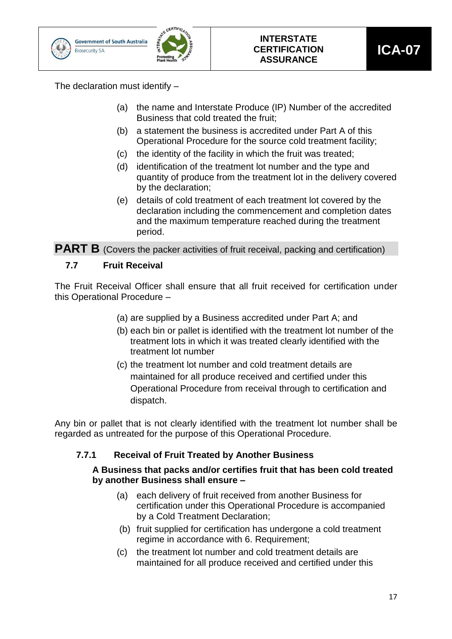

The declaration must identify –

- (a) the name and Interstate Produce (IP) Number of the accredited Business that cold treated the fruit;
- (b) a statement the business is accredited under Part A of this Operational Procedure for the source cold treatment facility;
- (c) the identity of the facility in which the fruit was treated;
- (d) identification of the treatment lot number and the type and quantity of produce from the treatment lot in the delivery covered by the declaration;
- (e) details of cold treatment of each treatment lot covered by the declaration including the commencement and completion dates and the maximum temperature reached during the treatment period.

**PART B** (Covers the packer activities of fruit receival, packing and certification)

### **7.7 Fruit Receival**

The Fruit Receival Officer shall ensure that all fruit received for certification under this Operational Procedure –

- (a) are supplied by a Business accredited under Part A; and
- (b) each bin or pallet is identified with the treatment lot number of the treatment lots in which it was treated clearly identified with the treatment lot number
- (c) the treatment lot number and cold treatment details are maintained for all produce received and certified under this Operational Procedure from receival through to certification and dispatch.

Any bin or pallet that is not clearly identified with the treatment lot number shall be regarded as untreated for the purpose of this Operational Procedure.

### **7.7.1 Receival of Fruit Treated by Another Business**

#### **A Business that packs and/or certifies fruit that has been cold treated by another Business shall ensure –**

- <span id="page-16-0"></span>(a) each delivery of fruit received from another Business for certification under this Operational Procedure is accompanied by a Cold Treatment Declaration;
- (b) fruit supplied for certification has undergone a cold treatment regime in accordance with 6. Requirement;
- (c) the treatment lot number and cold treatment details are maintained for all produce received and certified under this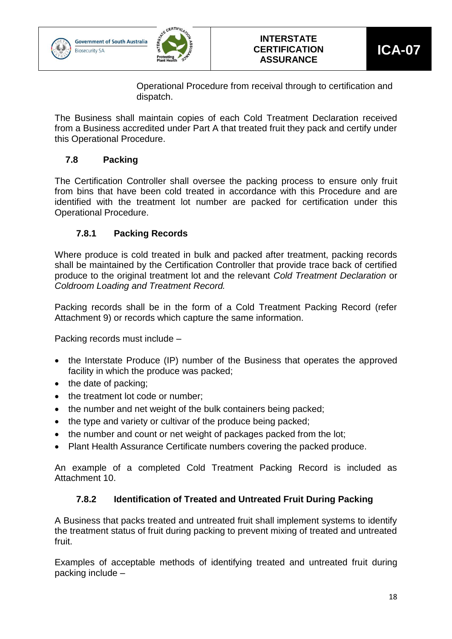





Operational Procedure from receival through to certification and dispatch.

The Business shall maintain copies of each Cold Treatment Declaration received from a Business accredited under Part A that treated fruit they pack and certify under this Operational Procedure.

### **7.8 Packing**

The Certification Controller shall oversee the packing process to ensure only fruit from bins that have been cold treated in accordance with this Procedure and are identified with the treatment lot number are packed for certification under this Operational Procedure.

### **7.8.1 Packing Records**

<span id="page-17-0"></span>Where produce is cold treated in bulk and packed after treatment, packing records shall be maintained by the Certification Controller that provide trace back of certified produce to the original treatment lot and the relevant *Cold Treatment Declaration* or *Coldroom Loading and Treatment Record.*

Packing records shall be in the form of a Cold Treatment Packing Record (refer Attachment 9) or records which capture the same information.

Packing records must include –

- the Interstate Produce (IP) number of the Business that operates the approved facility in which the produce was packed;
- the date of packing;
- the treatment lot code or number;
- the number and net weight of the bulk containers being packed;
- the type and variety or cultivar of the produce being packed;
- the number and count or net weight of packages packed from the lot;
- Plant Health Assurance Certificate numbers covering the packed produce.

An example of a completed Cold Treatment Packing Record is included as Attachment 10.

### **7.8.2 Identification of Treated and Untreated Fruit During Packing**

<span id="page-17-1"></span>A Business that packs treated and untreated fruit shall implement systems to identify the treatment status of fruit during packing to prevent mixing of treated and untreated fruit.

Examples of acceptable methods of identifying treated and untreated fruit during packing include –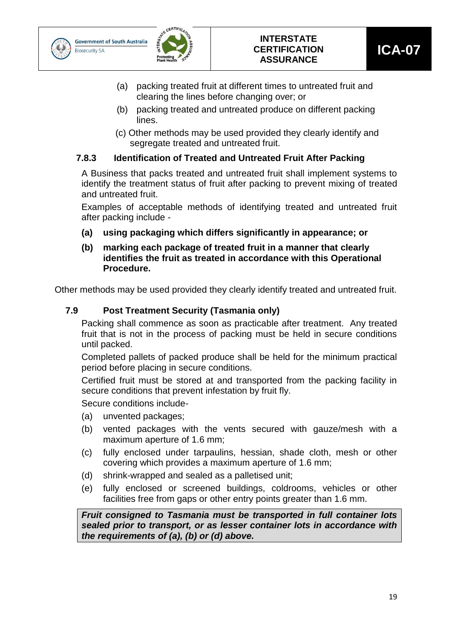



- (a) packing treated fruit at different times to untreated fruit and clearing the lines before changing over; or
- (b) packing treated and untreated produce on different packing lines.
- (c) Other methods may be used provided they clearly identify and segregate treated and untreated fruit.

### <span id="page-18-0"></span>**7.8.3 Identification of Treated and Untreated Fruit After Packing**

A Business that packs treated and untreated fruit shall implement systems to identify the treatment status of fruit after packing to prevent mixing of treated and untreated fruit.

Examples of acceptable methods of identifying treated and untreated fruit after packing include -

- **(a) using packaging which differs significantly in appearance; or**
- **(b) marking each package of treated fruit in a manner that clearly identifies the fruit as treated in accordance with this Operational Procedure.**

Other methods may be used provided they clearly identify treated and untreated fruit.

### **7.9 Post Treatment Security (Tasmania only)**

Packing shall commence as soon as practicable after treatment. Any treated fruit that is not in the process of packing must be held in secure conditions until packed.

Completed pallets of packed produce shall be held for the minimum practical period before placing in secure conditions.

Certified fruit must be stored at and transported from the packing facility in secure conditions that prevent infestation by fruit fly.

Secure conditions include-

- (a) unvented packages;
- (b) vented packages with the vents secured with gauze/mesh with a maximum aperture of 1.6 mm;
- (c) fully enclosed under tarpaulins, hessian, shade cloth, mesh or other covering which provides a maximum aperture of 1.6 mm;
- (d) shrink-wrapped and sealed as a palletised unit;
- (e) fully enclosed or screened buildings, coldrooms, vehicles or other facilities free from gaps or other entry points greater than 1.6 mm.

*Fruit consigned to Tasmania must be transported in full container lots sealed prior to transport, or as lesser container lots in accordance with the requirements of (a), (b) or (d) above.*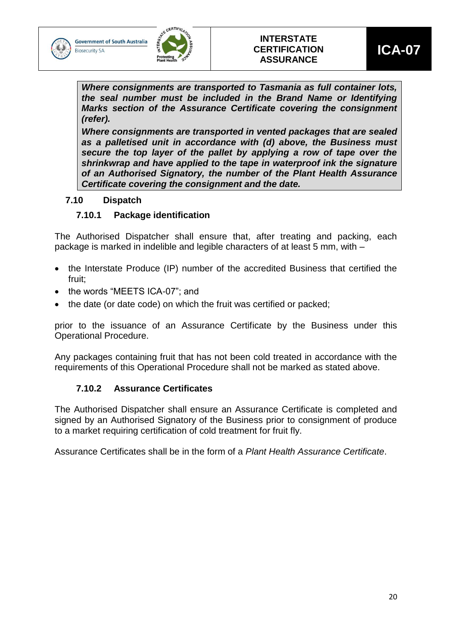



*Where consignments are transported to Tasmania as full container lots, the seal number must be included in the Brand Name or Identifying Marks section of the Assurance Certificate covering the consignment (refer).*

*Where consignments are transported in vented packages that are sealed as a palletised unit in accordance with (d) above, the Business must secure the top layer of the pallet by applying a row of tape over the shrinkwrap and have applied to the tape in waterproof ink the signature of an Authorised Signatory, the number of the Plant Health Assurance Certificate covering the consignment and the date.*

#### <span id="page-19-0"></span>**7.10 Dispatch**

### **7.10.1 Package identification**

The Authorised Dispatcher shall ensure that, after treating and packing, each package is marked in indelible and legible characters of at least 5 mm, with –

- the Interstate Produce (IP) number of the accredited Business that certified the fruit;
- the words "MEETS ICA-07"; and
- the date (or date code) on which the fruit was certified or packed;

prior to the issuance of an Assurance Certificate by the Business under this Operational Procedure.

Any packages containing fruit that has not been cold treated in accordance with the requirements of this Operational Procedure shall not be marked as stated above.

### **7.10.2 Assurance Certificates**

<span id="page-19-1"></span>The Authorised Dispatcher shall ensure an Assurance Certificate is completed and signed by an Authorised Signatory of the Business prior to consignment of produce to a market requiring certification of cold treatment for fruit fly.

Assurance Certificates shall be in the form of a *Plant Health Assurance Certificate*.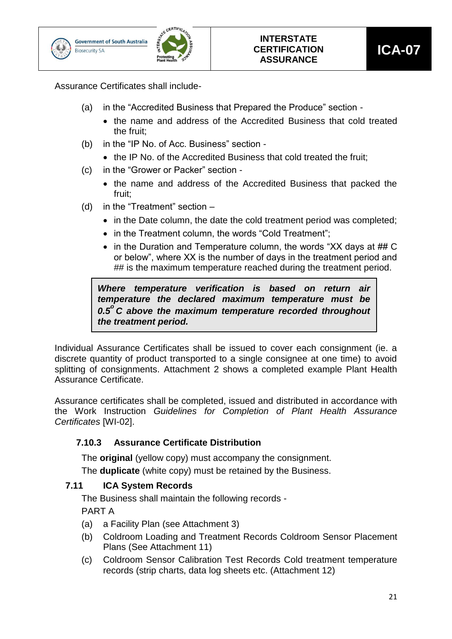![](_page_20_Picture_0.jpeg)

![](_page_20_Picture_2.jpeg)

Assurance Certificates shall include-

- (a) in the "Accredited Business that Prepared the Produce" section
	- the name and address of the Accredited Business that cold treated the fruit;
- (b) in the "IP No. of Acc. Business" section
	- the IP No. of the Accredited Business that cold treated the fruit;
- (c) in the "Grower or Packer" section
	- the name and address of the Accredited Business that packed the fruit;
- (d) in the "Treatment" section
	- in the Date column, the date the cold treatment period was completed:
	- in the Treatment column, the words "Cold Treatment";
	- in the Duration and Temperature column, the words "XX days at ## C or below", where XX is the number of days in the treatment period and ## is the maximum temperature reached during the treatment period.

*Where temperature verification is based on return air temperature the declared maximum temperature must be 0.5<sup>o</sup> C above the maximum temperature recorded throughout the treatment period.*

Individual Assurance Certificates shall be issued to cover each consignment (ie. a discrete quantity of product transported to a single consignee at one time) to avoid splitting of consignments. Attachment 2 shows a completed example Plant Health Assurance Certificate.

Assurance certificates shall be completed, issued and distributed in accordance with the Work Instruction *Guidelines for Completion of Plant Health Assurance Certificates* [WI-02].

### <span id="page-20-0"></span>**7.10.3 Assurance Certificate Distribution**

The **original** (yellow copy) must accompany the consignment.

The **duplicate** (white copy) must be retained by the Business.

#### **7.11 ICA System Records**

The Business shall maintain the following records -

PART A

- (a) a Facility Plan (see Attachment 3)
- (b) Coldroom Loading and Treatment Records Coldroom Sensor Placement Plans (See Attachment 11)
- (c) Coldroom Sensor Calibration Test Records Cold treatment temperature records (strip charts, data log sheets etc. (Attachment 12)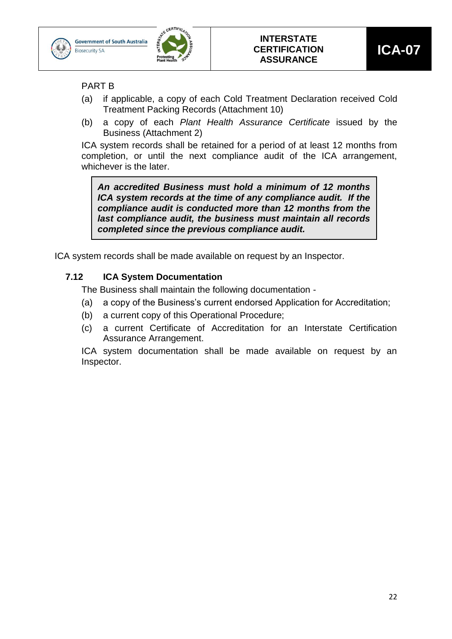![](_page_21_Picture_0.jpeg)

![](_page_21_Picture_1.jpeg)

![](_page_21_Picture_2.jpeg)

PART B

- (a) if applicable, a copy of each Cold Treatment Declaration received Cold Treatment Packing Records (Attachment 10)
- (b) a copy of each *Plant Health Assurance Certificate* issued by the Business (Attachment 2)

ICA system records shall be retained for a period of at least 12 months from completion, or until the next compliance audit of the ICA arrangement, whichever is the later.

*An accredited Business must hold a minimum of 12 months ICA system records at the time of any compliance audit. If the compliance audit is conducted more than 12 months from the last compliance audit, the business must maintain all records completed since the previous compliance audit.*

ICA system records shall be made available on request by an Inspector.

### **7.12 ICA System Documentation**

The Business shall maintain the following documentation -

- (a) a copy of the Business's current endorsed Application for Accreditation;
- (b) a current copy of this Operational Procedure;
- (c) a current Certificate of Accreditation for an Interstate Certification Assurance Arrangement.

ICA system documentation shall be made available on request by an Inspector.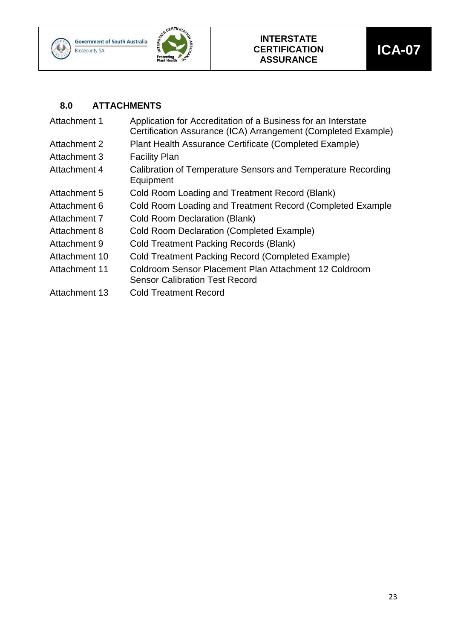![](_page_22_Picture_0.jpeg)

![](_page_22_Picture_1.jpeg)

![](_page_22_Picture_2.jpeg)

### <span id="page-22-0"></span>**8.0 ATTACHMENTS**

| Application for Accreditation of a Business for an Interstate<br>Certification Assurance (ICA) Arrangement (Completed Example) |
|--------------------------------------------------------------------------------------------------------------------------------|
| Plant Health Assurance Certificate (Completed Example)                                                                         |
| <b>Facility Plan</b>                                                                                                           |
| Calibration of Temperature Sensors and Temperature Recording<br>Equipment                                                      |
| Cold Room Loading and Treatment Record (Blank)                                                                                 |
| Cold Room Loading and Treatment Record (Completed Example                                                                      |
| <b>Cold Room Declaration (Blank)</b>                                                                                           |
| <b>Cold Room Declaration (Completed Example)</b>                                                                               |
| <b>Cold Treatment Packing Records (Blank)</b>                                                                                  |
| <b>Cold Treatment Packing Record (Completed Example)</b>                                                                       |
| Coldroom Sensor Placement Plan Attachment 12 Coldroom<br><b>Sensor Calibration Test Record</b>                                 |
| <b>Cold Treatment Record</b>                                                                                                   |
|                                                                                                                                |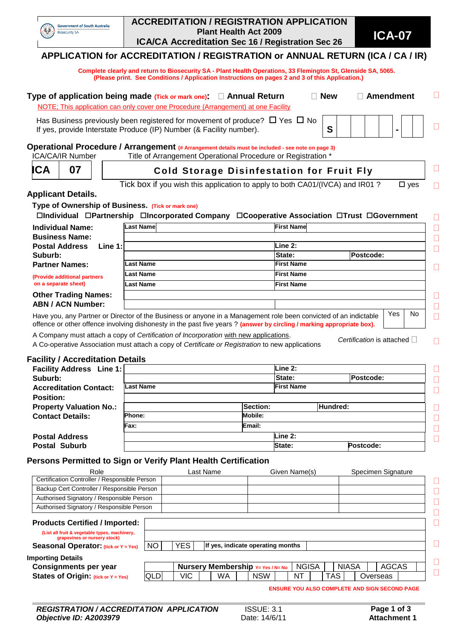| <b>Government of South Australia</b> |
|--------------------------------------|
| <b>Biosecurity SA</b>                |

#### **ACCREDITATION / REGISTRATION APPLICATION Plant Health Act 2009 ICA/CA Accreditation Sec 16 / Registration Sec 26 ICA-07**

### **APPLICATION for ACCREDITATION / REGISTRATION or ANNUAL RETURN (ICA / CA / IR)**

 **Complete clearly and return to Biosecurity SA - Plant Health Operations, 33 Flemington St, Glenside SA, 5065. (Please print. See Conditions / Application Instructions on pages 2 and 3 of this Application.)**

|                                                   | Type of application being made $(Tick or mark one)$ : $\Box$ Annual Return<br>NOTE; This application can only cover one Procedure (Arrangement) at one Facility                                                                           |                | <b>New</b>          | $\Box$ Amendment          |  |
|---------------------------------------------------|-------------------------------------------------------------------------------------------------------------------------------------------------------------------------------------------------------------------------------------------|----------------|---------------------|---------------------------|--|
|                                                   | Has Business previously been registered for movement of produce? $\Box$ Yes $\Box$ No<br>If yes, provide Interstate Produce (IP) Number (& Facility number).                                                                              |                | S                   |                           |  |
| <b>ICA/CA/IR Number</b>                           | Operational Procedure / Arrangement (# Arrangement details must be included - see note on page 3)<br>Title of Arrangement Operational Procedure or Registration *                                                                         |                |                     |                           |  |
| 07<br>ICA                                         | П<br><b>Cold Storage Disinfestation for Fruit Fly</b>                                                                                                                                                                                     |                |                     |                           |  |
| <b>Applicant Details.</b>                         | Tick box if you wish this application to apply to both CA01/(IVCA) and IR01?                                                                                                                                                              |                |                     | $\square$ yes             |  |
| Type of Ownership of Business. (Tick or mark one) | □Individual □Partnership □Incorporated Company □Cooperative Association □Trust □Government                                                                                                                                                |                |                     |                           |  |
| <b>Individual Name:</b>                           | <b>Last Name</b>                                                                                                                                                                                                                          |                | <b>First Name</b>   |                           |  |
| <b>Business Name:</b>                             |                                                                                                                                                                                                                                           |                |                     |                           |  |
| <b>Postal Address</b><br>Line $1:$                |                                                                                                                                                                                                                                           |                | Line 2:             |                           |  |
| Suburb:                                           |                                                                                                                                                                                                                                           |                | State:<br>Postcode: |                           |  |
| <b>Partner Names:</b>                             | <b>Last Name</b>                                                                                                                                                                                                                          |                | <b>First Name</b>   |                           |  |
| (Provide additional partners                      | <b>Last Name</b><br><b>First Name</b>                                                                                                                                                                                                     |                |                     |                           |  |
| on a separate sheet)                              | <b>Last Name</b>                                                                                                                                                                                                                          |                | <b>First Name</b>   |                           |  |
| <b>Other Trading Names:</b>                       |                                                                                                                                                                                                                                           |                |                     |                           |  |
| <b>ABN / ACN Number:</b>                          |                                                                                                                                                                                                                                           |                |                     |                           |  |
|                                                   | Have you, any Partner or Director of the Business or anyone in a Management role been convicted of an indictable<br>offence or other offence involving dishonesty in the past five years? (answer by circling / marking appropriate box). |                |                     | Yes<br>No                 |  |
|                                                   | A Company must attach a copy of Certification of Incorporation with new applications.<br>A Co-operative Association must attach a copy of Certificate or Registration to new applications                                                 |                |                     | Certification is attached |  |
| <b>Facility / Accreditation Details</b>           |                                                                                                                                                                                                                                           |                |                     |                           |  |
| <b>Facility Address Line 1:</b>                   |                                                                                                                                                                                                                                           |                | Line 2:             |                           |  |
| Suburb:                                           |                                                                                                                                                                                                                                           |                | Postcode:<br>State: |                           |  |
| <b>Accreditation Contact:</b>                     | <b>Last Name</b>                                                                                                                                                                                                                          |                | <b>First Name</b>   |                           |  |
| <b>Position:</b>                                  |                                                                                                                                                                                                                                           |                |                     |                           |  |
| <b>Property Valuation No.:</b>                    |                                                                                                                                                                                                                                           | Section:       | Hundred:            |                           |  |
| <b>Contact Details:</b>                           | Phone:                                                                                                                                                                                                                                    | <b>Mobile:</b> |                     |                           |  |
|                                                   | Fax:                                                                                                                                                                                                                                      | Email:         |                     |                           |  |
| <b>Postal Address</b>                             |                                                                                                                                                                                                                                           |                | Line 2:             |                           |  |
| <b>Postal Suburb</b>                              |                                                                                                                                                                                                                                           |                | State:<br>Postcode: |                           |  |
|                                                   | Persons Permitted to Sign or Verify Plant Health Certification                                                                                                                                                                            |                |                     |                           |  |
| Role                                              | Last Name                                                                                                                                                                                                                                 |                | Given Name(s)       | Specimen Signature        |  |
|                                                   |                                                                                                                                                                                                                                           |                |                     |                           |  |

#### Certification Controller / Responsible Person  $\Box$ Backup Cert Controller / Responsible Person  $\Box$ Authorised Signatory / Responsible Person  $\Box$ Authorised Signatory / Responsible Person  $\Box$  $\Box$ **Products Certified / Imported: (List all fruit & vegetable types, machinery, grapevines or nursery stock)**  $\Box$ **Seasonal Operator:** (tick or  $Y = Yes$ )  $\boxed{NO}$   $\boxed{YES}$  If yes, indicate operating months **Importing Details**  $\Box$ **Consignments per year Nursery Membership Y= Yes** / N= No | NGISA | | NIASA | | AGCAS  $\Box$ **States of Origin:** (tick or  $Y = Y$ es) QLD VIC WA NSW NT TAS Overseas

**ENSURE YOU ALSO COMPLETE AND SIGN SECOND PAGE**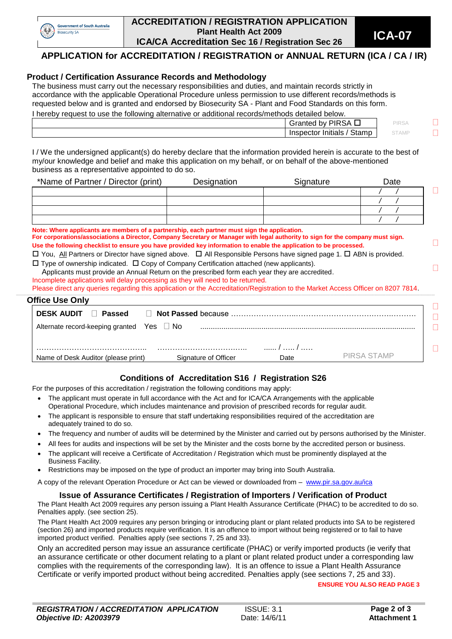![](_page_24_Picture_0.jpeg)

#### **ACCREDITATION / REGISTRATION APPLICATION Plant Health Act 2009 ICA/CA Accreditation Sec 16** / Registration Sec 26 **ICA-07**

**APPLICATION for ACCREDITATION / REGISTRATION or ANNUAL RETURN (ICA / CA / IR)** 

#### **Product / Certification Assurance Records and Methodology**

The business must carry out the necessary responsibilities and duties, and maintain records strictly in accordance with the applicable Operational Procedure unless permission to use different records/methods is requested below and is granted and endorsed by Biosecurity SA - Plant and Food Standards on this form.

I hereby request to use the following alternative or additional records/methods detailed below.

| . |                                  |          |  |
|---|----------------------------------|----------|--|
|   | <b>PIRSA</b><br>Granted<br>bv    | PIRSA    |  |
|   | Stamp<br>. Initials<br>Inspector | 5 I AIVI |  |
|   |                                  |          |  |

I / We the undersigned applicant(s) do hereby declare that the information provided herein is accurate to the best of my/our knowledge and belief and make this application on my behalf, or on behalf of the above-mentioned business as a representative appointed to do so.

| *Name of Partner / Director (print) | Designation | Signature | Date |
|-------------------------------------|-------------|-----------|------|
|                                     |             |           |      |
|                                     |             |           |      |
|                                     |             |           |      |
|                                     |             |           |      |

**Note: Where applicants are members of a partnership, each partner must sign the application.**

**For corporations/associations a Director, Company Secretary or Manager with legal authority to sign for the company must sign. Use the following checklist to ensure you have provided key information to enable the application to be processed.**

 $\Box$  You, All Partners or Director have signed above.  $\Box$  All Responsible Persons have signed page 1.  $\Box$  ABN is provided.  $\Box$  Type of ownership indicated.  $\Box$  Copy of Company Certification attached (new applicants).

Applicants must provide an Annual Return on the prescribed form each year they are accredited.

Incomplete applications will delay processing as they will need to be returned.

Please direct any queries regarding this application or the Accreditation/Registration to the Market Access Officer on 8207 7814.

| <b>DESK AUDIT</b><br><b>Passed</b>             |                                                             |      |             |
|------------------------------------------------|-------------------------------------------------------------|------|-------------|
| Alternate record-keeping granted $Yes \Box No$ |                                                             |      |             |
|                                                |                                                             |      |             |
|                                                | Name of Desk Auditor (please print)<br>Signature of Officer | Date | PIRSA STAMP |

### **Conditions of Accreditation S16 / Registration S26**

For the purposes of this accreditation / registration the following conditions may apply:

- The applicant must operate in full accordance with the Act and for ICA/CA Arrangements with the applicable Operational Procedure, which includes maintenance and provision of prescribed records for regular audit.
- The applicant is responsible to ensure that staff undertaking responsibilities required of the accreditation are adequately trained to do so.
- The frequency and number of audits will be determined by the Minister and carried out by persons authorised by the Minister.
- All fees for audits and inspections will be set by the Minister and the costs borne by the accredited person or business.
- The applicant will receive a Certificate of Accreditation / Registration which must be prominently displayed at the Business Facility.
- Restrictions may be imposed on the type of product an importer may bring into South Australia.

A copy of the relevant Operation Procedure or Act can be viewed or downloaded from – [www.pir.sa.gov.au/ica](http://www.pir.sa.gov.au/ica)

#### **Issue of Assurance Certificates / Registration of Importers / Verification of Product**

The Plant Health Act 2009 requires any person issuing a Plant Health Assurance Certificate (PHAC) to be accredited to do so. Penalties apply. (see section 25).

The Plant Health Act 2009 requires any person bringing or introducing plant or plant related products into SA to be registered (section 26) and imported products require verification. It is an offence to import without being registered or to fail to have imported product verified. Penalties apply (see sections 7, 25 and 33).

Only an accredited person may issue an assurance certificate (PHAC) or verify imported products (ie verify that an assurance certificate or other document relating to a plant or plant related product under a corresponding law complies with the requirements of the corresponding law). It is an offence to issue a Plant Health Assurance Certificate or verify imported product without being accredited. Penalties apply (see sections 7, 25 and 33).

**ENSURE YOU ALSO READ PAGE 3**

 $\Box$ 

 $\Box$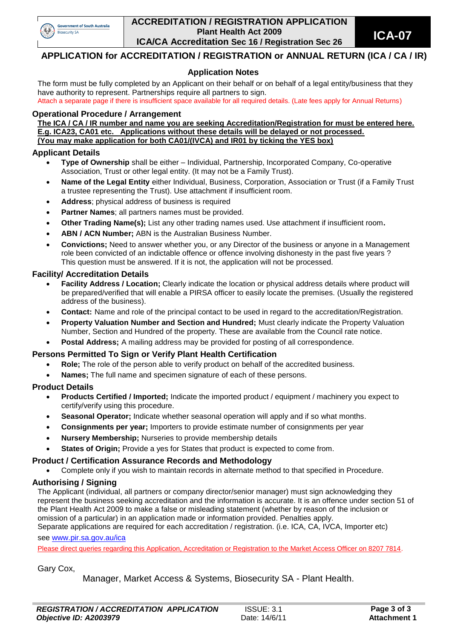![](_page_25_Picture_0.jpeg)

#### **ACCREDITATION / REGISTRATION APPLICATION Plant Health Act 2009 ICA/CA Accreditation Sec 16** / Registration Sec 26 **ICA-07**

#### **APPLICATION for ACCREDITATION / REGISTRATION or ANNUAL RETURN (ICA / CA / IR)**

#### **Application Notes**

The form must be fully completed by an Applicant on their behalf or on behalf of a legal entity/business that they have authority to represent. Partnerships require all partners to sign. Attach a separate page if there is insufficient space available for all required details. (Late fees apply for Annual Returns)

#### **Operational Procedure / Arrangement**

**The ICA / CA / IR number and name you are seeking Accreditation/Registration for must be entered here. E.g. ICA23, CA01 etc. Applications without these details will be delayed or not processed. (You may make application for both CA01/(IVCA) and IR01 by ticking the YES box)**

#### **Applicant Details**

- **Type of Ownership** shall be either Individual, Partnership, Incorporated Company, Co-operative Association, Trust or other legal entity. (It may not be a Family Trust).
- **Name of the Legal Entity** either Individual, Business, Corporation, Association or Trust (if a Family Trust a trustee representing the Trust). Use attachment if insufficient room.
- **Address**; physical address of business is required
- **Partner Names**; all partners names must be provided.
- **Other Trading Name(s);** List any other trading names used. Use attachment if insufficient room**.**
- **ABN / ACN Number;** ABN is the Australian Business Number.
- **Convictions;** Need to answer whether you, or any Director of the business or anyone in a Management role been convicted of an indictable offence or offence involving dishonesty in the past five years ? This question must be answered. If it is not, the application will not be processed.

#### **Facility/ Accreditation Details**

- **Facility Address / Location;** Clearly indicate the location or physical address details where product will be prepared/verified that will enable a PIRSA officer to easily locate the premises. (Usually the registered address of the business).
- **Contact:** Name and role of the principal contact to be used in regard to the accreditation/Registration.
- **Property Valuation Number and Section and Hundred;** Must clearly indicate the Property Valuation Number, Section and Hundred of the property. These are available from the Council rate notice.
- **Postal Address;** A mailing address may be provided for posting of all correspondence.

#### **Persons Permitted To Sign or Verify Plant Health Certification**

- **Role;** The role of the person able to verify product on behalf of the accredited business.
- **Names;** The full name and specimen signature of each of these persons.

#### **Product Details**

- **Products Certified / Imported;** Indicate the imported product / equipment / machinery you expect to certify/verify using this procedure.
- **Seasonal Operator;** Indicate whether seasonal operation will apply and if so what months.
- **Consignments per year;** Importers to provide estimate number of consignments per year
- **Nursery Membership;** Nurseries to provide membership details
- **States of Origin;** Provide a yes for States that product is expected to come from.

#### **Product / Certification Assurance Records and Methodology**

Complete only if you wish to maintain records in alternate method to that specified in Procedure.

#### **Authorising / Signing**

The Applicant (individual, all partners or company director/senior manager) must sign acknowledging they represent the business seeking accreditation and the information is accurate. It is an offence under section 51 of the Plant Health Act 2009 to make a false or misleading statement (whether by reason of the inclusion or omission of a particular) in an application made or information provided. Penalties apply. Separate applications are required for each accreditation / registration. (i.e. ICA, CA, IVCA, Importer etc)

#### see [www.pir.sa.gov.au/ica](http://www.pir.sa.gov.au/ica)

Please direct queries regarding this Application, Accreditation or Registration to the Market Access Officer on 8207 7814.

Gary Cox,

Manager, Market Access & Systems, Biosecurity SA - Plant Health.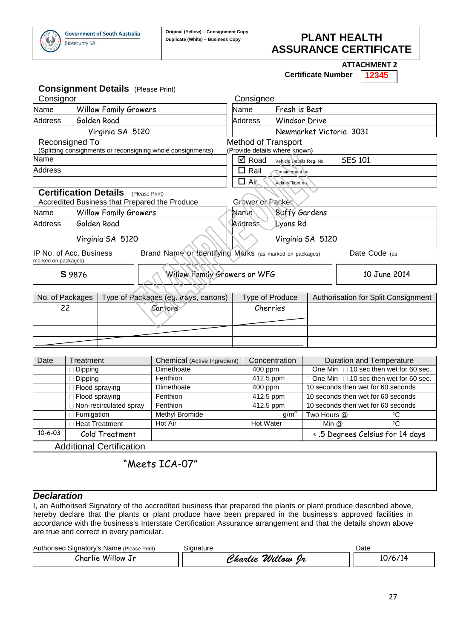![](_page_26_Picture_0.jpeg)

### **Duplicate (White) – Business Copy PLANT HEALTH ASSURANCE CERTIFICATE**

**ATTACHMENT 2**

**Certificate Number 12345**

|                                                | <b>Consignment Details</b> (Please Print)                   |         |                                                         |                               |                               |  |                                     |  |
|------------------------------------------------|-------------------------------------------------------------|---------|---------------------------------------------------------|-------------------------------|-------------------------------|--|-------------------------------------|--|
| Consignor                                      |                                                             |         |                                                         | Consignee                     |                               |  |                                     |  |
| Name                                           | <b>Willow Family Growers</b>                                |         |                                                         | Name                          | Fresh is Best                 |  |                                     |  |
| Address                                        | Golden Road                                                 |         |                                                         | Address                       | <b>Windsor Drive</b>          |  |                                     |  |
| Virginia SA 5120                               |                                                             |         |                                                         |                               | Newmarket Victoria 3031       |  |                                     |  |
| Reconsigned To                                 | (Splitting consignments or reconsigning whole consignments) |         |                                                         | <b>Method of Transport</b>    | (Provide details where known) |  |                                     |  |
| Name                                           |                                                             |         |                                                         | <b>☑</b> Road                 | Vehicle Details Reg. No.      |  | <b>SES 101</b>                      |  |
| <b>Address</b>                                 |                                                             |         |                                                         | $\Box$ Rail                   | Consignment no.               |  |                                     |  |
|                                                |                                                             |         |                                                         | $\Box$ Air                    | Airline/Flight no.            |  |                                     |  |
|                                                | <b>Certification Details</b> (Please Print)                 |         |                                                         |                               |                               |  |                                     |  |
|                                                | Accredited Business that Prepared the Produce               |         |                                                         | Grower of Packer              |                               |  |                                     |  |
| Name                                           | <b>Willow Family Growers</b>                                |         |                                                         | <b>Buffy Gardens</b><br>Name` |                               |  |                                     |  |
| Address                                        | Golden Road                                                 |         |                                                         | <b>Address</b><br>Lyons Rd    |                               |  |                                     |  |
|                                                | Virginia SA 5120                                            |         |                                                         |                               | Virginia SA 5120              |  |                                     |  |
| IP No. of Acc. Business<br>marked on packages) |                                                             |         | Brand Name or Identifying Marks (as marked on packages) |                               |                               |  | Date Code (as                       |  |
| S 9876                                         |                                                             |         | William Family Growers or WFG                           |                               |                               |  | 10 June 2014                        |  |
| No. of Packages                                |                                                             |         | Type of Packages (eg. trays, cartons)                   | Type of Produce               |                               |  | Authorisation for Split Consignment |  |
| 22                                             |                                                             | Cartons |                                                         | Cherries                      |                               |  |                                     |  |
|                                                |                                                             |         |                                                         |                               |                               |  |                                     |  |
|                                                |                                                             |         |                                                         |                               |                               |  |                                     |  |
|                                                |                                                             |         |                                                         |                               |                               |  |                                     |  |
|                                                |                                                             |         |                                                         |                               |                               |  |                                     |  |
| Date                                           | Treatment                                                   |         | Chemical (Active Ingredient)                            |                               | Concentration                 |  | <b>Duration and Temperature</b>     |  |

| Date          | ı reatment             | Chemical (Active Ingredient) | Concentration    | Duration and Temperature                |
|---------------|------------------------|------------------------------|------------------|-----------------------------------------|
|               | Dipping                | Dimethoate                   | $400$ ppm        | 1 One Min □ 10 sec then wet for 60 sec. |
|               | Dipping                | Fenthion                     | 412.5 ppm        | □ One Min □ 10 sec then wet for 60 sec. |
|               | Flood spraying         | Dimethoate                   | $400$ ppm        | 10 seconds then wet for 60 seconds      |
|               | Flood spraying         | Fenthion                     | 412.5 ppm        | 10 seconds then wet for 60 seconds      |
|               | Non-recirculated spray | Fenthion                     | 412.5 ppm        | 10 seconds then wet for 60 seconds      |
|               | Fumigation             | Methyl Bromide               | q/m <sup>3</sup> | Two Hours @<br>°C                       |
|               | <b>Heat Treatment</b>  | Hot Air                      | <b>Hot Water</b> | Min @<br>°C                             |
| $10 - 6 - 03$ | Cold Treatment         |                              |                  | < .5 Degrees Celsius for 14 days        |

Additional Certification

"Meets ICA-07"

#### *Declaration*

I, an Authorised Signatory of the accredited business that prepared the plants or plant produce described above, hereby declare that the plants or plant produce have been prepared in the business's approved facilities in accordance with the business's Interstate Certification Assurance arrangement and that the details shown above are true and correct in every particular.

| Authorised Signatory's Name (Please Print) | Sianature         | Date    |
|--------------------------------------------|-------------------|---------|
| Charlie Willow Jr                          | Charlie Willow Ir | 10/6/14 |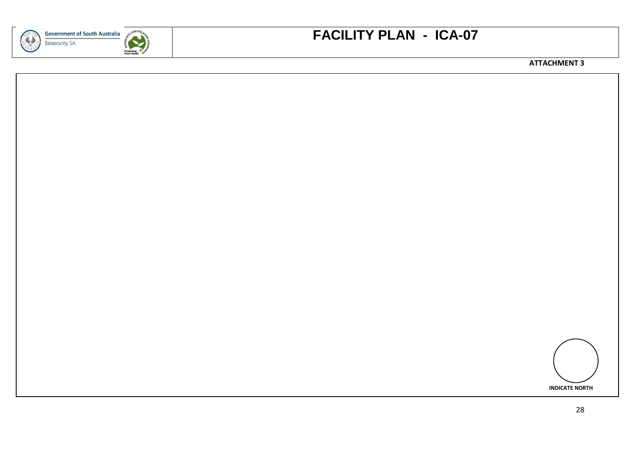![](_page_27_Picture_0.jpeg)

![](_page_27_Picture_1.jpeg)

# **FACILITY PLAN - ICA-07**

**ATTACHMENT 3**

![](_page_27_Figure_4.jpeg)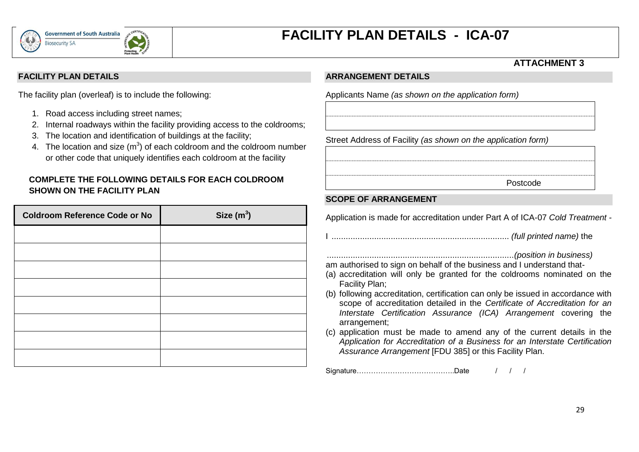![](_page_28_Picture_0.jpeg)

# **FACILITY PLAN DETAILS - ICA-07**

### **ATTACHMENT 3**

#### **FACILITY PLAN DETAILS**

The facility plan (overleaf) is to include the following:

- 1. Road access including street names;
- 2. Internal roadways within the facility providing access to the coldrooms;
- 3. The location and identification of buildings at the facility;
- 4. The location and size  $(m^3)$  of each coldroom and the coldroom number or other code that uniquely identifies each coldroom at the facility

#### **COMPLETE THE FOLLOWING DETAILS FOR EACH COLDROOM SHOWN ON THE FACILITY PLAN**

| <b>Coldroom Reference Code or No</b> | Size $(m^3)$ |
|--------------------------------------|--------------|
|                                      |              |
|                                      |              |
|                                      |              |
|                                      |              |
|                                      |              |
|                                      |              |
|                                      |              |
|                                      |              |

#### **ARRANGEMENT DETAILS**

Applicants Name *(as shown on the application form)*

Street Address of Facility *(as shown on the application form)*

Postcode

#### **SCOPE OF ARRANGEMENT**

Application is made for accreditation under Part A of ICA-07 *Cold Treatment -*

I ........................................................................... *(full printed name)* the

...............................................................................*(position in business)* am authorised to sign on behalf of the business and I understand that-

- (a) accreditation will only be granted for the coldrooms nominated on the Facility Plan;
- (b) following accreditation, certification can only be issued in accordance with scope of accreditation detailed in the *Certificate of Accreditation for an Interstate Certification Assurance (ICA) Arrangement* covering the arrangement;
- (c) application must be made to amend any of the current details in the *Application for Accreditation of a Business for an Interstate Certification Assurance Arrangement* [FDU 385] or this Facility Plan.

Signature……………………………………………Date / / / /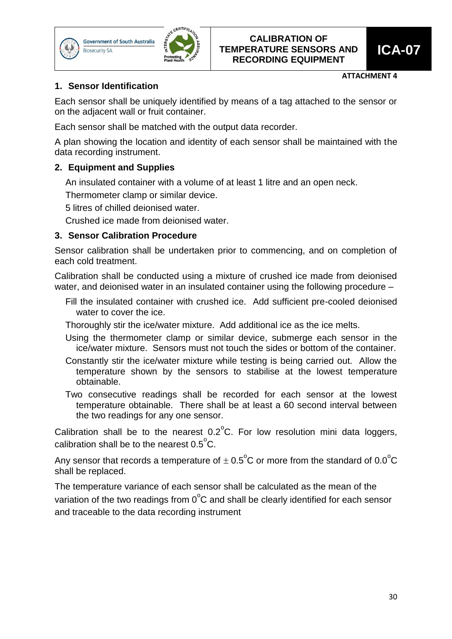![](_page_29_Picture_0.jpeg)

![](_page_29_Picture_2.jpeg)

#### **ATTACHMENT 4**

### **1. Sensor Identification**

Each sensor shall be uniquely identified by means of a tag attached to the sensor or on the adjacent wall or fruit container.

Each sensor shall be matched with the output data recorder.

A plan showing the location and identity of each sensor shall be maintained with the data recording instrument.

### **2. Equipment and Supplies**

An insulated container with a volume of at least 1 litre and an open neck.

Thermometer clamp or similar device.

5 litres of chilled deionised water.

Crushed ice made from deionised water.

#### **3. Sensor Calibration Procedure**

Sensor calibration shall be undertaken prior to commencing, and on completion of each cold treatment.

Calibration shall be conducted using a mixture of crushed ice made from deionised water, and deionised water in an insulated container using the following procedure –

Fill the insulated container with crushed ice. Add sufficient pre-cooled deionised water to cover the ice.

Thoroughly stir the ice/water mixture. Add additional ice as the ice melts.

- Using the thermometer clamp or similar device, submerge each sensor in the ice/water mixture. Sensors must not touch the sides or bottom of the container.
- Constantly stir the ice/water mixture while testing is being carried out. Allow the temperature shown by the sensors to stabilise at the lowest temperature obtainable.
- Two consecutive readings shall be recorded for each sensor at the lowest temperature obtainable. There shall be at least a 60 second interval between the two readings for any one sensor.

Calibration shall be to the nearest  $0.2^{\circ}$ C. For low resolution mini data loggers, calibration shall be to the nearest  $0.5^{\circ}$ C.

Any sensor that records a temperature of  $\pm$  0.5<sup>o</sup>C or more from the standard of 0.0<sup>o</sup>C shall be replaced.

The temperature variance of each sensor shall be calculated as the mean of the variation of the two readings from  $0^{\circ}$ C and shall be clearly identified for each sensor and traceable to the data recording instrument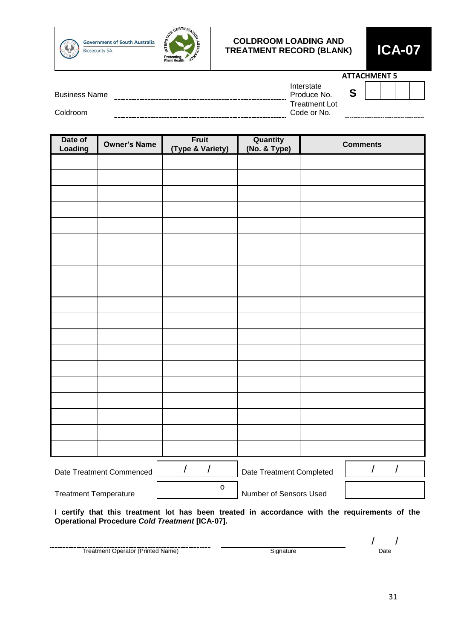![](_page_30_Picture_0.jpeg)

**Government of South Australia Biosecurity SA** 

![](_page_30_Picture_2.jpeg)

#### **COLDROOM LOADING AND TREATMENT RECORD (BLANK) ICA-07**

|                      |                                     | <b>ATTACHMENT 5</b> |  |                                |
|----------------------|-------------------------------------|---------------------|--|--------------------------------|
| <b>Business Name</b> | Interstate<br>Produce No.           |                     |  |                                |
| Coldroom             | <b>Treatment Lot</b><br>Code or No. | ----------          |  | ------------------------------ |
|                      |                                     |                     |  |                                |

| Date of<br>Loading | <b>Owner's Name</b>      | <b>Fruit</b><br>(Type & Variety) | Quantity<br>(No. & Type) | <b>Comments</b>        |
|--------------------|--------------------------|----------------------------------|--------------------------|------------------------|
|                    |                          |                                  |                          |                        |
|                    |                          |                                  |                          |                        |
|                    |                          |                                  |                          |                        |
|                    |                          |                                  |                          |                        |
|                    |                          |                                  |                          |                        |
|                    |                          |                                  |                          |                        |
|                    |                          |                                  |                          |                        |
|                    |                          |                                  |                          |                        |
|                    |                          |                                  |                          |                        |
|                    |                          |                                  |                          |                        |
|                    |                          |                                  |                          |                        |
|                    |                          |                                  |                          |                        |
|                    |                          |                                  |                          |                        |
|                    |                          |                                  |                          |                        |
|                    |                          |                                  |                          |                        |
|                    |                          |                                  |                          |                        |
|                    |                          |                                  |                          |                        |
|                    |                          |                                  |                          |                        |
|                    |                          |                                  |                          |                        |
|                    | Date Treatment Commenced | $\overline{1}$<br>$\overline{1}$ | Date Treatment Completed | $\sqrt{2}$<br>$\bigg)$ |

Treatment Temperature

Number of Sensors Used

| the control of the control of the control of | $\sqrt{1}$                                                                      |  |
|----------------------------------------------|---------------------------------------------------------------------------------|--|
|                                              | the contract of the contract of the contract of the contract of the contract of |  |
|                                              |                                                                                 |  |
|                                              |                                                                                 |  |
|                                              |                                                                                 |  |
|                                              |                                                                                 |  |

**I certify that this treatment lot has been treated in accordance with the requirements of the Operational Procedure** *Cold Treatment* **[ICA-07].**

| Name <sup>®</sup><br>не | ---- | Date<br>. |
|-------------------------|------|-----------|

o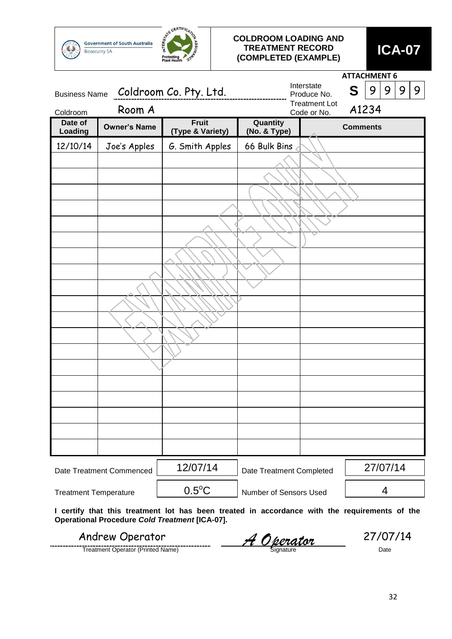![](_page_31_Picture_0.jpeg)

#### **COLDROOM LOADING AND TREATMENT RECORD (COMPLETED (EXAMPLE) ICA-07**

|                              |                          |                                                       |                          |                                     | <b>ATTACHMENT 6</b>                                                                           |
|------------------------------|--------------------------|-------------------------------------------------------|--------------------------|-------------------------------------|-----------------------------------------------------------------------------------------------|
| <b>Business Name</b>         |                          | Coldroom Co. Pty. Ltd.                                |                          | Interstate<br>Produce No.           | 9<br>S<br>9<br>9<br>9                                                                         |
| Coldroom                     | Room A                   |                                                       |                          | <b>Treatment Lot</b><br>Code or No. | A1234                                                                                         |
| Date of<br>Loading           | <b>Owner's Name</b>      | <b>Fruit</b><br>(Type & Variety)                      | Quantity<br>(No. & Type) |                                     | <b>Comments</b>                                                                               |
| 12/10/14                     | Joe's Apples             | G. Smith Apples                                       | 66 Bulk Bins             |                                     |                                                                                               |
|                              |                          |                                                       |                          |                                     |                                                                                               |
|                              |                          |                                                       |                          |                                     |                                                                                               |
|                              |                          |                                                       |                          |                                     |                                                                                               |
|                              |                          |                                                       |                          |                                     |                                                                                               |
|                              |                          |                                                       |                          |                                     |                                                                                               |
|                              |                          |                                                       |                          |                                     |                                                                                               |
|                              |                          |                                                       |                          |                                     |                                                                                               |
|                              |                          |                                                       |                          |                                     |                                                                                               |
|                              |                          |                                                       |                          |                                     |                                                                                               |
|                              |                          |                                                       |                          |                                     |                                                                                               |
|                              |                          |                                                       |                          |                                     |                                                                                               |
|                              |                          |                                                       |                          |                                     |                                                                                               |
|                              |                          |                                                       |                          |                                     |                                                                                               |
|                              |                          |                                                       |                          |                                     |                                                                                               |
|                              |                          |                                                       |                          |                                     |                                                                                               |
|                              |                          |                                                       |                          |                                     |                                                                                               |
|                              |                          |                                                       |                          |                                     |                                                                                               |
|                              |                          |                                                       |                          |                                     |                                                                                               |
|                              |                          |                                                       |                          |                                     |                                                                                               |
|                              | Date Treatment Commenced | 12/07/14                                              | Date Treatment Completed |                                     | 27/07/14                                                                                      |
| <b>Treatment Temperature</b> |                          | $0.5^{\circ}$ C                                       | Number of Sensors Used   |                                     | 4                                                                                             |
|                              |                          | <b>Operational Procedure Cold Treatment [ICA-07].</b> |                          |                                     | I certify that this treatment lot has been treated in accordance with the requirements of the |

Treatment Operator (Printed Name) Signature Date Andrew Operator **A Operator** 27/07/14<br>
Treatment Operator (Printed Name)<br> **A Operator** Signature **1990**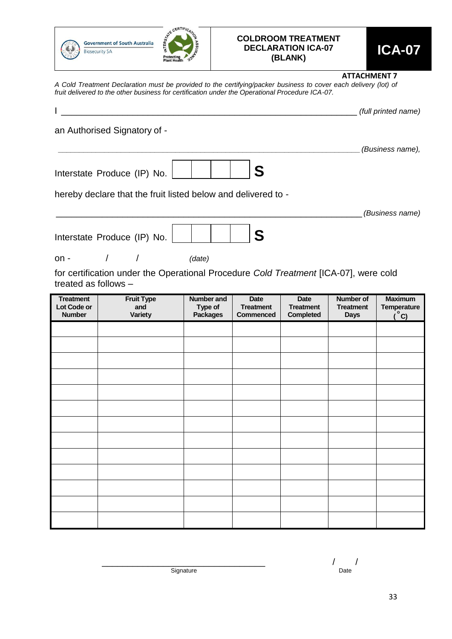![](_page_32_Picture_0.jpeg)

# **COLDROOM TREATMENT DECLARATION ICA-07**

#### **ATTACHMENT 7**

*A Cold Treatment Declaration must be provided to the certifying/packer business to cover each delivery (lot) of fruit delivered to the other business for certification under the Operational Procedure ICA-07.*

| an Authorised Signatory of -<br>(Business name),<br>S<br>Interstate Produce (IP) No.<br>hereby declare that the fruit listed below and delivered to -<br>(Business name)<br>S<br>Interstate Produce (IP) No.<br>(date)<br>$\prime$<br>$\prime$<br>for certification under the Operational Procedure Cold Treatment [ICA-07], were cold<br>treated as follows -<br><b>Treatment</b><br><b>Fruit Type</b><br><b>Number and</b><br><b>Date</b><br><b>Date</b><br><b>Number of</b><br><b>Maximum</b><br>Lot Code or<br>Type of<br><b>Treatment</b><br>and<br><b>Treatment</b><br><b>Treatment</b><br><b>Temperature</b><br>$^{\circ}$ C)<br><b>Number</b><br>Variety<br><b>Packages</b><br><b>Completed</b><br><b>Commenced</b><br><b>Days</b> |        |  |  | (full printed name) |
|--------------------------------------------------------------------------------------------------------------------------------------------------------------------------------------------------------------------------------------------------------------------------------------------------------------------------------------------------------------------------------------------------------------------------------------------------------------------------------------------------------------------------------------------------------------------------------------------------------------------------------------------------------------------------------------------------------------------------------------------|--------|--|--|---------------------|
|                                                                                                                                                                                                                                                                                                                                                                                                                                                                                                                                                                                                                                                                                                                                            |        |  |  |                     |
|                                                                                                                                                                                                                                                                                                                                                                                                                                                                                                                                                                                                                                                                                                                                            |        |  |  |                     |
|                                                                                                                                                                                                                                                                                                                                                                                                                                                                                                                                                                                                                                                                                                                                            |        |  |  |                     |
|                                                                                                                                                                                                                                                                                                                                                                                                                                                                                                                                                                                                                                                                                                                                            |        |  |  |                     |
|                                                                                                                                                                                                                                                                                                                                                                                                                                                                                                                                                                                                                                                                                                                                            |        |  |  |                     |
|                                                                                                                                                                                                                                                                                                                                                                                                                                                                                                                                                                                                                                                                                                                                            |        |  |  |                     |
|                                                                                                                                                                                                                                                                                                                                                                                                                                                                                                                                                                                                                                                                                                                                            | $on -$ |  |  |                     |
|                                                                                                                                                                                                                                                                                                                                                                                                                                                                                                                                                                                                                                                                                                                                            |        |  |  |                     |
|                                                                                                                                                                                                                                                                                                                                                                                                                                                                                                                                                                                                                                                                                                                                            |        |  |  |                     |
|                                                                                                                                                                                                                                                                                                                                                                                                                                                                                                                                                                                                                                                                                                                                            |        |  |  |                     |
|                                                                                                                                                                                                                                                                                                                                                                                                                                                                                                                                                                                                                                                                                                                                            |        |  |  |                     |
|                                                                                                                                                                                                                                                                                                                                                                                                                                                                                                                                                                                                                                                                                                                                            |        |  |  |                     |
|                                                                                                                                                                                                                                                                                                                                                                                                                                                                                                                                                                                                                                                                                                                                            |        |  |  |                     |
|                                                                                                                                                                                                                                                                                                                                                                                                                                                                                                                                                                                                                                                                                                                                            |        |  |  |                     |
|                                                                                                                                                                                                                                                                                                                                                                                                                                                                                                                                                                                                                                                                                                                                            |        |  |  |                     |
|                                                                                                                                                                                                                                                                                                                                                                                                                                                                                                                                                                                                                                                                                                                                            |        |  |  |                     |
|                                                                                                                                                                                                                                                                                                                                                                                                                                                                                                                                                                                                                                                                                                                                            |        |  |  |                     |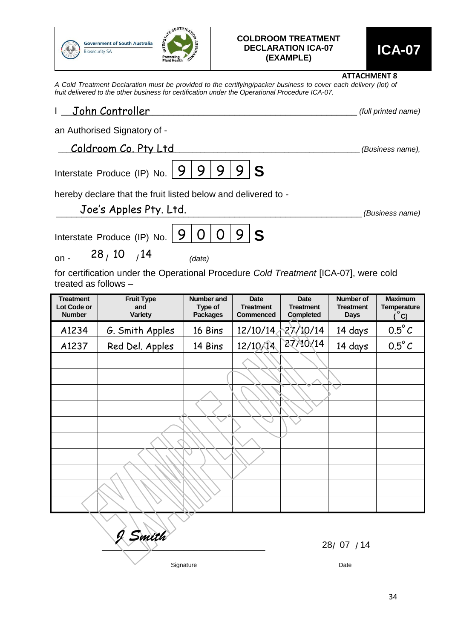![](_page_33_Picture_0.jpeg)

# **COLDROOM TREATMENT DECLARATION ICA-07 (EXAMPLE) ICA-07**

**ATTACHMENT 8**

*A Cold Treatment Declaration must be provided to the certifying/packer business to cover each delivery (lot) of fruit delivered to the other business for certification under the Operational Procedure ICA-07.*

| John Controller<br>$\mathbf{L}$<br>(full printed name)        |                                                                                         |                                                 |                                              |                                              |                                              |                                                       |  |  |
|---------------------------------------------------------------|-----------------------------------------------------------------------------------------|-------------------------------------------------|----------------------------------------------|----------------------------------------------|----------------------------------------------|-------------------------------------------------------|--|--|
|                                                               | an Authorised Signatory of -                                                            |                                                 |                                              |                                              |                                              |                                                       |  |  |
|                                                               | Coldroom Co. Pty Ltd                                                                    |                                                 |                                              |                                              |                                              | (Business name),                                      |  |  |
|                                                               | 9 <sup>1</sup><br>9 <sub>1</sub><br>Interstate Produce (IP) No. $ 9 \rangle$<br>9<br>-S |                                                 |                                              |                                              |                                              |                                                       |  |  |
| hereby declare that the fruit listed below and delivered to - |                                                                                         |                                                 |                                              |                                              |                                              |                                                       |  |  |
| Joe's Apples Pty. Ltd.<br>(Business name)                     |                                                                                         |                                                 |                                              |                                              |                                              |                                                       |  |  |
| 9<br>0<br>9<br>-S<br>O<br>Interstate Produce (IP) No.         |                                                                                         |                                                 |                                              |                                              |                                              |                                                       |  |  |
| $on -$                                                        | 28/10 / 14                                                                              | (date)                                          |                                              |                                              |                                              |                                                       |  |  |
| treated as follows -                                          | for certification under the Operational Procedure Cold Treatment [ICA-07], were cold    |                                                 |                                              |                                              |                                              |                                                       |  |  |
| <b>Treatment</b><br>Lot Code or<br><b>Number</b>              | <b>Fruit Type</b><br>and<br><b>Variety</b>                                              | <b>Number</b> and<br>Type of<br><b>Packages</b> | Date<br><b>Treatment</b><br><b>Commenced</b> | Date<br><b>Treatment</b><br><b>Completed</b> | Number of<br><b>Treatment</b><br><b>Days</b> | <b>Maximum</b><br><b>Temperature</b><br>$^{\circ}$ C) |  |  |
| A1234                                                         | G. Smith Apples                                                                         | 16 Bins                                         | 12/10/14                                     | 27/10/14                                     | 14 days                                      | $0.5^{\circ}$ C                                       |  |  |
| A1237                                                         | Red Del. Apples                                                                         | 14 Bins                                         | 12/10/14                                     | 27/10/14                                     | 14 days                                      | $0.5^{\circ}$ C                                       |  |  |
|                                                               |                                                                                         |                                                 |                                              |                                              |                                              |                                                       |  |  |
|                                                               |                                                                                         |                                                 |                                              |                                              |                                              |                                                       |  |  |
|                                                               |                                                                                         |                                                 |                                              |                                              |                                              |                                                       |  |  |
|                                                               |                                                                                         |                                                 |                                              |                                              |                                              |                                                       |  |  |
|                                                               |                                                                                         |                                                 |                                              |                                              |                                              |                                                       |  |  |
|                                                               |                                                                                         |                                                 |                                              |                                              |                                              |                                                       |  |  |
|                                                               |                                                                                         |                                                 |                                              |                                              |                                              |                                                       |  |  |
|                                                               |                                                                                         |                                                 |                                              |                                              |                                              |                                                       |  |  |
|                                                               |                                                                                         |                                                 |                                              |                                              |                                              |                                                       |  |  |
|                                                               |                                                                                         |                                                 |                                              |                                              |                                              |                                                       |  |  |

Signature Date Date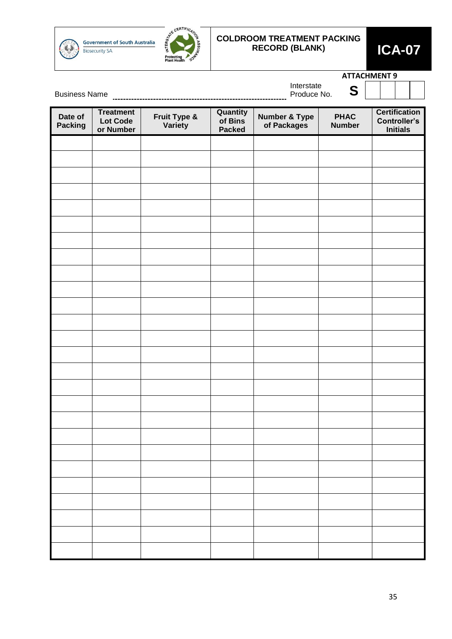![](_page_34_Picture_0.jpeg)

**Government of South Australia Biosecurity SA** 

![](_page_34_Picture_2.jpeg)

## **COLDROOM TREATMENT PACKING RECORD (BLANK) ICA-07**

![](_page_34_Picture_4.jpeg)

|                           |                                                  |                                     |                                             | <b>ATTACHMENT 9</b><br>Interstate        |                              |                                                                |  |  |
|---------------------------|--------------------------------------------------|-------------------------------------|---------------------------------------------|------------------------------------------|------------------------------|----------------------------------------------------------------|--|--|
| <b>Business Name</b>      |                                                  |                                     |                                             |                                          |                              |                                                                |  |  |
| Date of<br><b>Packing</b> | <b>Treatment</b><br><b>Lot Code</b><br>or Number | <b>Fruit Type &amp;<br/>Variety</b> | <b>Quantity</b><br>of Bins<br><b>Packed</b> | <b>Number &amp; Type<br/>of Packages</b> | <b>PHAC</b><br><b>Number</b> | <b>Certification</b><br><b>Controller's</b><br><b>Initials</b> |  |  |
|                           |                                                  |                                     |                                             |                                          |                              |                                                                |  |  |
|                           |                                                  |                                     |                                             |                                          |                              |                                                                |  |  |
|                           |                                                  |                                     |                                             |                                          |                              |                                                                |  |  |
|                           |                                                  |                                     |                                             |                                          |                              |                                                                |  |  |
|                           |                                                  |                                     |                                             |                                          |                              |                                                                |  |  |
|                           |                                                  |                                     |                                             |                                          |                              |                                                                |  |  |
|                           |                                                  |                                     |                                             |                                          |                              |                                                                |  |  |
|                           |                                                  |                                     |                                             |                                          |                              |                                                                |  |  |
|                           |                                                  |                                     |                                             |                                          |                              |                                                                |  |  |
|                           |                                                  |                                     |                                             |                                          |                              |                                                                |  |  |
|                           |                                                  |                                     |                                             |                                          |                              |                                                                |  |  |
|                           |                                                  |                                     |                                             |                                          |                              |                                                                |  |  |
|                           |                                                  |                                     |                                             |                                          |                              |                                                                |  |  |
|                           |                                                  |                                     |                                             |                                          |                              |                                                                |  |  |
|                           |                                                  |                                     |                                             |                                          |                              |                                                                |  |  |
|                           |                                                  |                                     |                                             |                                          |                              |                                                                |  |  |
|                           |                                                  |                                     |                                             |                                          |                              |                                                                |  |  |
|                           |                                                  |                                     |                                             |                                          |                              |                                                                |  |  |
|                           |                                                  |                                     |                                             |                                          |                              |                                                                |  |  |
|                           |                                                  |                                     |                                             |                                          |                              |                                                                |  |  |
|                           |                                                  |                                     |                                             |                                          |                              |                                                                |  |  |
|                           |                                                  |                                     |                                             |                                          |                              |                                                                |  |  |
|                           |                                                  |                                     |                                             |                                          |                              |                                                                |  |  |
|                           |                                                  |                                     |                                             |                                          |                              |                                                                |  |  |
|                           |                                                  |                                     |                                             |                                          |                              |                                                                |  |  |
|                           |                                                  |                                     |                                             |                                          |                              |                                                                |  |  |
|                           |                                                  |                                     |                                             |                                          |                              |                                                                |  |  |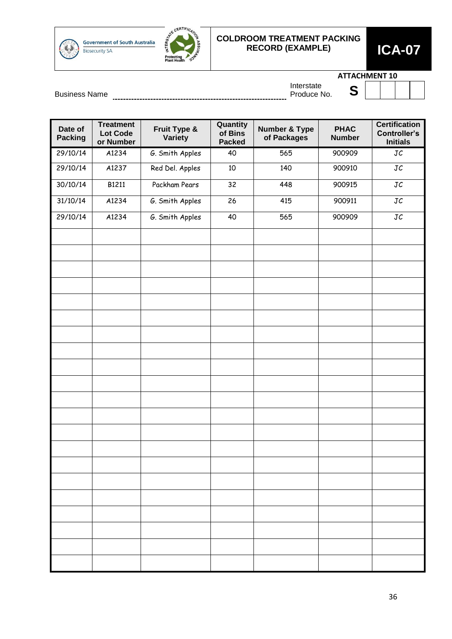![](_page_35_Picture_0.jpeg)

Government of South Australia **Biosecurity SA** 

![](_page_35_Picture_2.jpeg)

### **COLDROOM TREATMENT PACKING RECORD (EXAMPLE) ICA-07**

![](_page_35_Picture_4.jpeg)

**ATTACHMENT 10**

|  | $ -$ |  |
|--|------|--|
|  |      |  |
|  |      |  |
|  |      |  |
|  |      |  |
|  |      |  |

Business Name Produce No. **S** Interstate

| Date of<br><b>Packing</b> | <b>Treatment</b><br><b>Lot Code</b><br>or Number | Fruit Type &<br>Variety | Quantity<br>of Bins<br><b>Packed</b> | <b>Number &amp; Type</b><br>of Packages | <b>PHAC</b><br><b>Number</b> | <b>Certification</b><br><b>Controller's</b><br><b>Initials</b> |
|---------------------------|--------------------------------------------------|-------------------------|--------------------------------------|-----------------------------------------|------------------------------|----------------------------------------------------------------|
| 29/10/14                  | A1234                                            | G. Smith Apples         | 40                                   | 565                                     | 900909                       | JC                                                             |
| 29/10/14                  | A1237                                            | Red Del. Apples         | 10                                   | 140                                     | 900910                       | JC                                                             |
| 30/10/14                  | B1211                                            | Packham Pears           | 32                                   | 448                                     | 900915                       | $\mathtt{JC}$                                                  |
| 31/10/14                  | A1234                                            | G. Smith Apples         | 26                                   | 415                                     | 900911                       | $\mathtt{JC}$                                                  |
| 29/10/14                  | A1234                                            | G. Smith Apples         | 40                                   | 565                                     | 900909                       | JC                                                             |
|                           |                                                  |                         |                                      |                                         |                              |                                                                |
|                           |                                                  |                         |                                      |                                         |                              |                                                                |
|                           |                                                  |                         |                                      |                                         |                              |                                                                |
|                           |                                                  |                         |                                      |                                         |                              |                                                                |
|                           |                                                  |                         |                                      |                                         |                              |                                                                |
|                           |                                                  |                         |                                      |                                         |                              |                                                                |
|                           |                                                  |                         |                                      |                                         |                              |                                                                |
|                           |                                                  |                         |                                      |                                         |                              |                                                                |
|                           |                                                  |                         |                                      |                                         |                              |                                                                |
|                           |                                                  |                         |                                      |                                         |                              |                                                                |
|                           |                                                  |                         |                                      |                                         |                              |                                                                |
|                           |                                                  |                         |                                      |                                         |                              |                                                                |
|                           |                                                  |                         |                                      |                                         |                              |                                                                |
|                           |                                                  |                         |                                      |                                         |                              |                                                                |
|                           |                                                  |                         |                                      |                                         |                              |                                                                |
|                           |                                                  |                         |                                      |                                         |                              |                                                                |
|                           |                                                  |                         |                                      |                                         |                              |                                                                |
|                           |                                                  |                         |                                      |                                         |                              |                                                                |
|                           |                                                  |                         |                                      |                                         |                              |                                                                |
|                           |                                                  |                         |                                      |                                         |                              |                                                                |
|                           |                                                  |                         |                                      |                                         |                              |                                                                |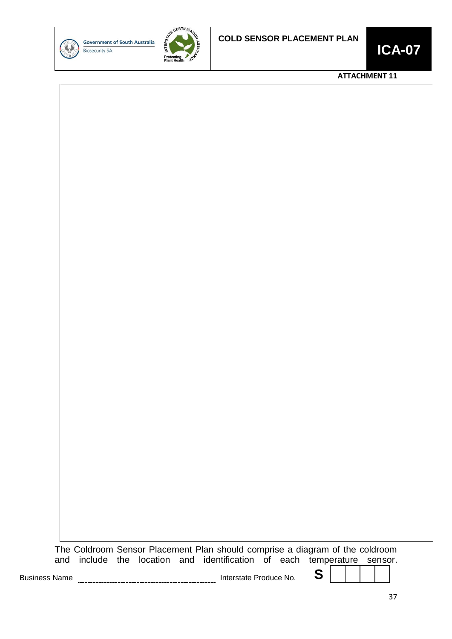![](_page_36_Picture_0.jpeg)

![](_page_36_Picture_2.jpeg)

![](_page_36_Picture_4.jpeg)

#### **ATTACHMENT 11**

![](_page_36_Picture_6.jpeg)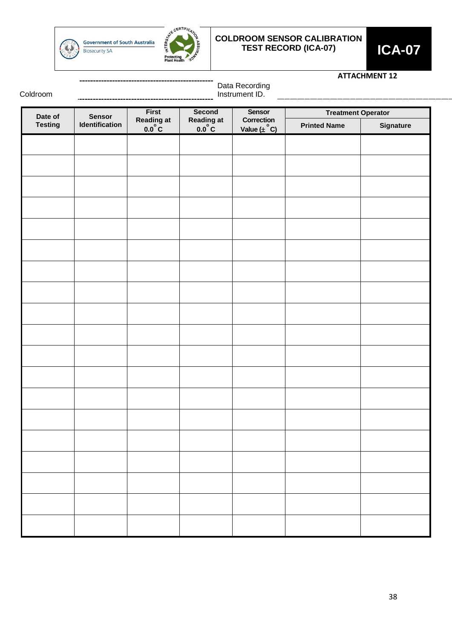![](_page_37_Picture_0.jpeg)

**Government of South Australia Biosecurity SA** 

![](_page_37_Picture_2.jpeg)

### **COLDROOM SENSOR CALIBRATION TEST RECORD (ICA-07) ICA-07**

![](_page_37_Picture_4.jpeg)

#### **ATTACHMENT 12**

Coldroom

Data Recording Instrument ID.

|                           |                                 |                              | ---------                     | Sensor                                |                                                  |           |  |
|---------------------------|---------------------------------|------------------------------|-------------------------------|---------------------------------------|--------------------------------------------------|-----------|--|
| Date of<br><b>Testing</b> | <b>Sensor</b><br>Identification | First<br>Reading at<br>0.0°C | Second<br>Reading at<br>0.0°C | Correction<br>Value $(\pm \text{°C})$ | <b>Treatment Operator</b><br><b>Printed Name</b> |           |  |
|                           |                                 |                              |                               |                                       |                                                  | Signature |  |
|                           |                                 |                              |                               |                                       |                                                  |           |  |
|                           |                                 |                              |                               |                                       |                                                  |           |  |
|                           |                                 |                              |                               |                                       |                                                  |           |  |
|                           |                                 |                              |                               |                                       |                                                  |           |  |
|                           |                                 |                              |                               |                                       |                                                  |           |  |
|                           |                                 |                              |                               |                                       |                                                  |           |  |
|                           |                                 |                              |                               |                                       |                                                  |           |  |
|                           |                                 |                              |                               |                                       |                                                  |           |  |
|                           |                                 |                              |                               |                                       |                                                  |           |  |
|                           |                                 |                              |                               |                                       |                                                  |           |  |
|                           |                                 |                              |                               |                                       |                                                  |           |  |
|                           |                                 |                              |                               |                                       |                                                  |           |  |
|                           |                                 |                              |                               |                                       |                                                  |           |  |
|                           |                                 |                              |                               |                                       |                                                  |           |  |
|                           |                                 |                              |                               |                                       |                                                  |           |  |
|                           |                                 |                              |                               |                                       |                                                  |           |  |
|                           |                                 |                              |                               |                                       |                                                  |           |  |
|                           |                                 |                              |                               |                                       |                                                  |           |  |
|                           |                                 |                              |                               |                                       |                                                  |           |  |
|                           |                                 |                              |                               |                                       |                                                  |           |  |
|                           |                                 |                              |                               |                                       |                                                  |           |  |
|                           |                                 |                              |                               |                                       |                                                  |           |  |